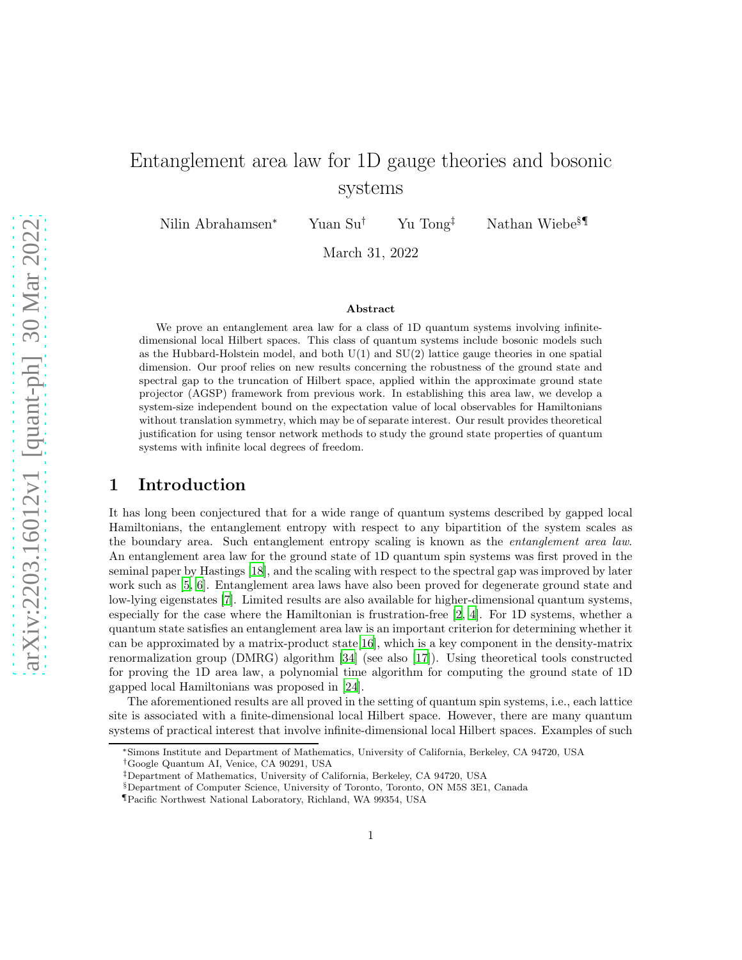# Entanglement area law for 1D gauge theories and bosonic systems

Nilin Abrahamsen<sup>∗</sup> Yuan Su† Yu Tong‡ Nathan Wiebe§¶

March 31, 2022

#### Abstract

We prove an entanglement area law for a class of 1D quantum systems involving infinitedimensional local Hilbert spaces. This class of quantum systems include bosonic models such as the Hubbard-Holstein model, and both  $U(1)$  and  $SU(2)$  lattice gauge theories in one spatial dimension. Our proof relies on new results concerning the robustness of the ground state and spectral gap to the truncation of Hilbert space, applied within the approximate ground state projector (AGSP) framework from previous work. In establishing this area law, we develop a system-size independent bound on the expectation value of local observables for Hamiltonians without translation symmetry, which may be of separate interest. Our result provides theoretical justification for using tensor network methods to study the ground state properties of quantum systems with infinite local degrees of freedom.

### 1 Introduction

It has long been conjectured that for a wide range of quantum systems described by gapped local Hamiltonians, the entanglement entropy with respect to any bipartition of the system scales as the boundary area. Such entanglement entropy scaling is known as the *entanglement area law*. An entanglement area law for the ground state of 1D quantum spin systems was first proved in the seminal paper by Hastings [\[18\]](#page-18-0), and the scaling with respect to the spectral gap was improved by later work such as [\[5,](#page-17-0) [6\]](#page-17-1). Entanglement area laws have also been proved for degenerate ground state and low-lying eigenstates [\[7\]](#page-18-1). Limited results are also available for higher-dimensional quantum systems, especially for the case where the Hamiltonian is frustration-free [\[2](#page-17-2), [4\]](#page-17-3). For 1D systems, whether a quantum state satisfies an entanglement area law is an important criterion for determining whether it can be approximated by a matrix-product state  $[16]$  $[16]$ , which is a key component in the density-matrix renormalization group (DMRG) algorithm [\[34\]](#page-19-0) (see also [\[17](#page-18-3)]). Using theoretical tools constructed for proving the 1D area law, a polynomial time algorithm for computing the ground state of 1D gapped local Hamiltonians was proposed in [\[24](#page-19-1)].

The aforementioned results are all proved in the setting of quantum spin systems, i.e., each lattice site is associated with a finite-dimensional local Hilbert space. However, there are many quantum systems of practical interest that involve infinite-dimensional local Hilbert spaces. Examples of such

<sup>∗</sup>Simons Institute and Department of Mathematics, University of California, Berkeley, CA 94720, USA

<sup>†</sup>Google Quantum AI, Venice, CA 90291, USA

<sup>‡</sup>Department of Mathematics, University of California, Berkeley, CA 94720, USA

<sup>§</sup>Department of Computer Science, University of Toronto, Toronto, ON M5S 3E1, Canada

<sup>¶</sup>Pacific Northwest National Laboratory, Richland, WA 99354, USA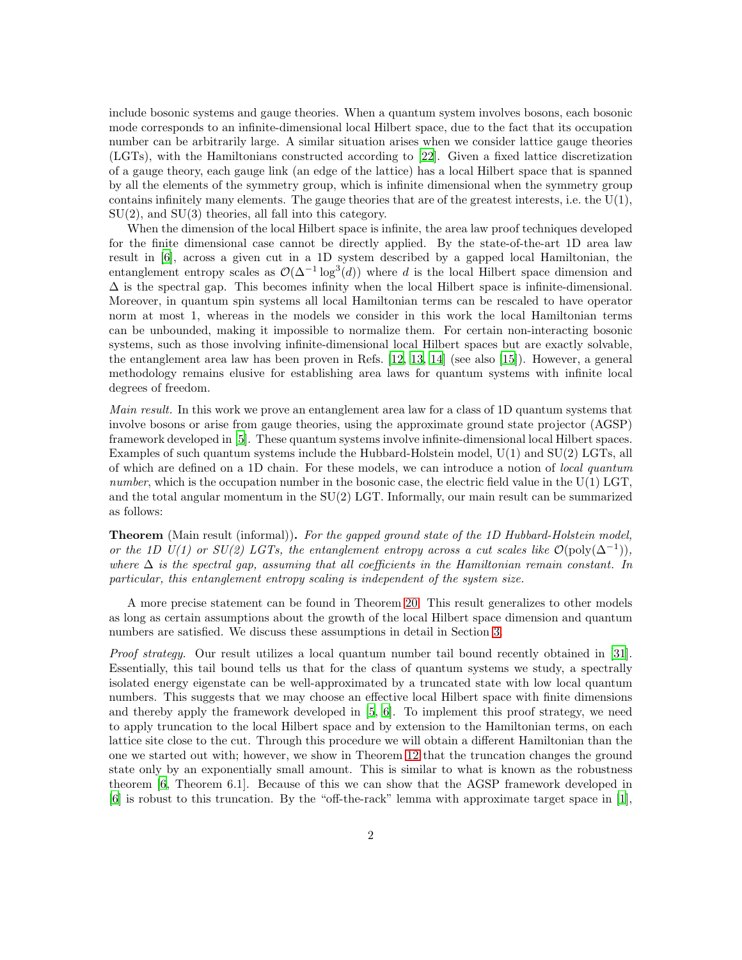include bosonic systems and gauge theories. When a quantum system involves bosons, each bosonic mode corresponds to an infinite-dimensional local Hilbert space, due to the fact that its occupation number can be arbitrarily large. A similar situation arises when we consider lattice gauge theories (LGTs), with the Hamiltonians constructed according to [\[22\]](#page-18-4). Given a fixed lattice discretization of a gauge theory, each gauge link (an edge of the lattice) has a local Hilbert space that is spanned by all the elements of the symmetry group, which is infinite dimensional when the symmetry group contains infinitely many elements. The gauge theories that are of the greatest interests, i.e. the  $U(1)$ ,  $SU(2)$ , and  $SU(3)$  theories, all fall into this category.

When the dimension of the local Hilbert space is infinite, the area law proof techniques developed for the finite dimensional case cannot be directly applied. By the state-of-the-art 1D area law result in [\[6](#page-17-1)], across a given cut in a 1D system described by a gapped local Hamiltonian, the entanglement entropy scales as  $\mathcal{O}(\Delta^{-1} \log^3(d))$  where d is the local Hilbert space dimension and  $\Delta$  is the spectral gap. This becomes infinity when the local Hilbert space is infinite-dimensional. Moreover, in quantum spin systems all local Hamiltonian terms can be rescaled to have operator norm at most 1, whereas in the models we consider in this work the local Hamiltonian terms can be unbounded, making it impossible to normalize them. For certain non-interacting bosonic systems, such as those involving infinite-dimensional local Hilbert spaces but are exactly solvable, the entanglement area law has been proven in Refs. [\[12,](#page-18-5) [13](#page-18-6), [14\]](#page-18-7) (see also [\[15\]](#page-18-8)). However, a general methodology remains elusive for establishing area laws for quantum systems with infinite local degrees of freedom.

Main result. In this work we prove an entanglement area law for a class of 1D quantum systems that involve bosons or arise from gauge theories, using the approximate ground state projector (AGSP) framework developed in [\[5\]](#page-17-0). These quantum systems involve infinite-dimensional local Hilbert spaces. Examples of such quantum systems include the Hubbard-Holstein model, U(1) and SU(2) LGTs, all of which are defined on a 1D chain. For these models, we can introduce a notion of local quantum number, which is the occupation number in the bosonic case, the electric field value in the  $U(1)$  LGT, and the total angular momentum in the SU(2) LGT. Informally, our main result can be summarized as follows:

**Theorem** (Main result (informal)). For the gapped ground state of the 1D Hubbard-Holstein model, or the 1D U(1) or SU(2) LGTs, the entanglement entropy across a cut scales like  $\mathcal{O}(\text{poly}(\Delta^{-1}))$ , where  $\Delta$  is the spectral gap, assuming that all coefficients in the Hamiltonian remain constant. In particular, this entanglement entropy scaling is independent of the system size.

A more precise statement can be found in Theorem [20.](#page-16-0) This result generalizes to other models as long as certain assumptions about the growth of the local Hilbert space dimension and quantum numbers are satisfied. We discuss these assumptions in detail in Section [3.](#page-4-0)

Proof strategy. Our result utilizes a local quantum number tail bound recently obtained in [\[31\]](#page-19-2). Essentially, this tail bound tells us that for the class of quantum systems we study, a spectrally isolated energy eigenstate can be well-approximated by a truncated state with low local quantum numbers. This suggests that we may choose an effective local Hilbert space with finite dimensions and thereby apply the framework developed in [\[5,](#page-17-0) [6](#page-17-1)]. To implement this proof strategy, we need to apply truncation to the local Hilbert space and by extension to the Hamiltonian terms, on each lattice site close to the cut. Through this procedure we will obtain a different Hamiltonian than the one we started out with; however, we show in Theorem [12](#page-11-0) that the truncation changes the ground state only by an exponentially small amount. This is similar to what is known as the robustness theorem [\[6](#page-17-1), Theorem 6.1]. Because of this we can show that the AGSP framework developed in [\[6\]](#page-17-1) is robust to this truncation. By the "off-the-rack" lemma with approximate target space in [\[1](#page-17-4)],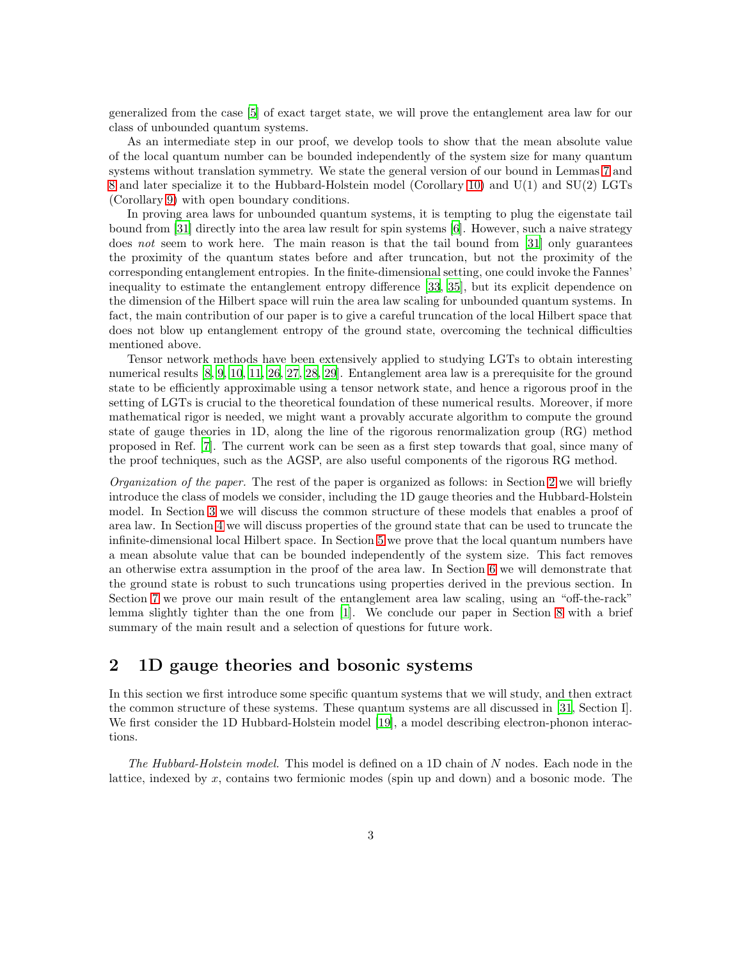generalized from the case [\[5\]](#page-17-0) of exact target state, we will prove the entanglement area law for our class of unbounded quantum systems.

As an intermediate step in our proof, we develop tools to show that the mean absolute value of the local quantum number can be bounded independently of the system size for many quantum systems without translation symmetry. We state the general version of our bound in Lemmas [7](#page-7-0) and [8](#page-8-0) and later specialize it to the Hubbard-Holstein model (Corollary [10\)](#page-9-0) and U(1) and SU(2) LGTs (Corollary [9\)](#page-8-1) with open boundary conditions.

In proving area laws for unbounded quantum systems, it is tempting to plug the eigenstate tail bound from [\[31\]](#page-19-2) directly into the area law result for spin systems [\[6](#page-17-1)]. However, such a naive strategy does not seem to work here. The main reason is that the tail bound from [\[31\]](#page-19-2) only guarantees the proximity of the quantum states before and after truncation, but not the proximity of the corresponding entanglement entropies. In the finite-dimensional setting, one could invoke the Fannes' inequality to estimate the entanglement entropy difference [\[33](#page-19-3), [35\]](#page-19-4), but its explicit dependence on the dimension of the Hilbert space will ruin the area law scaling for unbounded quantum systems. In fact, the main contribution of our paper is to give a careful truncation of the local Hilbert space that does not blow up entanglement entropy of the ground state, overcoming the technical difficulties mentioned above.

Tensor network methods have been extensively applied to studying LGTs to obtain interesting numerical results [\[8](#page-18-9), [9,](#page-18-10) [10](#page-18-11), [11,](#page-18-12) [26](#page-19-5), [27,](#page-19-6) [28](#page-19-7), [29\]](#page-19-8). Entanglement area law is a prerequisite for the ground state to be efficiently approximable using a tensor network state, and hence a rigorous proof in the setting of LGTs is crucial to the theoretical foundation of these numerical results. Moreover, if more mathematical rigor is needed, we might want a provably accurate algorithm to compute the ground state of gauge theories in 1D, along the line of the rigorous renormalization group (RG) method proposed in Ref. [\[7](#page-18-1)]. The current work can be seen as a first step towards that goal, since many of the proof techniques, such as the AGSP, are also useful components of the rigorous RG method.

Organization of the paper. The rest of the paper is organized as follows: in Section [2](#page-2-0) we will briefly introduce the class of models we consider, including the 1D gauge theories and the Hubbard-Holstein model. In Section [3](#page-4-0) we will discuss the common structure of these models that enables a proof of area law. In Section [4](#page-6-0) we will discuss properties of the ground state that can be used to truncate the infinite-dimensional local Hilbert space. In Section [5](#page-7-1) we prove that the local quantum numbers have a mean absolute value that can be bounded independently of the system size. This fact removes an otherwise extra assumption in the proof of the area law. In Section [6](#page-10-0) we will demonstrate that the ground state is robust to such truncations using properties derived in the previous section. In Section [7](#page-14-0) we prove our main result of the entanglement area law scaling, using an "off-the-rack" lemma slightly tighter than the one from [\[1\]](#page-17-4). We conclude our paper in Section [8](#page-16-1) with a brief summary of the main result and a selection of questions for future work.

## <span id="page-2-0"></span>2 1D gauge theories and bosonic systems

In this section we first introduce some specific quantum systems that we will study, and then extract the common structure of these systems. These quantum systems are all discussed in [\[31](#page-19-2), Section I]. We first consider the 1D Hubbard-Holstein model [\[19](#page-18-13)], a model describing electron-phonon interactions.

The Hubbard-Holstein model. This model is defined on a 1D chain of N nodes. Each node in the lattice, indexed by  $x$ , contains two fermionic modes (spin up and down) and a bosonic mode. The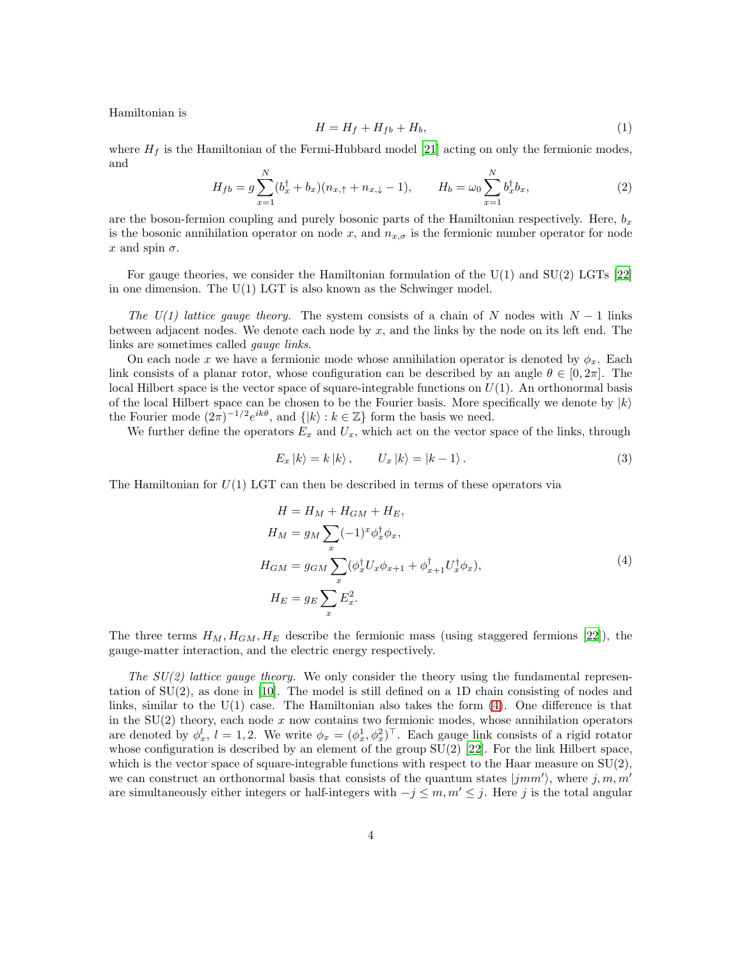Hamiltonian is

<span id="page-3-1"></span>
$$
H = H_f + H_{fb} + H_b,\tag{1}
$$

where  $H_f$  is the Hamiltonian of the Fermi-Hubbard model [\[21](#page-18-14)] acting on only the fermionic modes, and

$$
H_{fb} = g \sum_{x=1}^{N} (b_x^{\dagger} + b_x)(n_{x,\uparrow} + n_{x,\downarrow} - 1), \qquad H_b = \omega_0 \sum_{x=1}^{N} b_x^{\dagger} b_x, \tag{2}
$$

are the boson-fermion coupling and purely bosonic parts of the Hamiltonian respectively. Here,  $b_x$ is the bosonic annihilation operator on node x, and  $n_{x,\sigma}$  is the fermionic number operator for node x and spin  $\sigma$ .

For gauge theories, we consider the Hamiltonian formulation of the  $U(1)$  and  $SU(2)$  LGTs [\[22](#page-18-4)] in one dimension. The U(1) LGT is also known as the Schwinger model.

The  $U(1)$  lattice gauge theory. The system consists of a chain of N nodes with  $N-1$  links between adjacent nodes. We denote each node by  $x$ , and the links by the node on its left end. The links are sometimes called gauge links.

On each node x we have a fermionic mode whose annihilation operator is denoted by  $\phi_x$ . Each link consists of a planar rotor, whose configuration can be described by an angle  $\theta \in [0, 2\pi]$ . The local Hilbert space is the vector space of square-integrable functions on  $U(1)$ . An orthonormal basis of the local Hilbert space can be chosen to be the Fourier basis. More specifically we denote by  $|k\rangle$ the Fourier mode  $(2\pi)^{-1/2}e^{ik\theta}$ , and  $\{|k\rangle : k \in \mathbb{Z}\}$  form the basis we need.

We further define the operators  $E_x$  and  $U_x$ , which act on the vector space of the links, through

$$
E_x |k\rangle = k |k\rangle, \qquad U_x |k\rangle = |k - 1\rangle. \tag{3}
$$

The Hamiltonian for  $U(1)$  LGT can then be described in terms of these operators via

<span id="page-3-0"></span>
$$
H = H_M + H_{GM} + H_E,
$$
  
\n
$$
H_M = g_M \sum_x (-1)^x \phi_x^{\dagger} \phi_x,
$$
  
\n
$$
H_{GM} = g_{GM} \sum_x (\phi_x^{\dagger} U_x \phi_{x+1} + \phi_{x+1}^{\dagger} U_x^{\dagger} \phi_x),
$$
  
\n
$$
H_E = g_E \sum_x E_x^2.
$$
\n(4)

The three terms  $H_M, H_{GM}, H_E$  describe the fermionic mass (using staggered fermions [\[22](#page-18-4)]), the gauge-matter interaction, and the electric energy respectively.

The  $SU(2)$  lattice gauge theory. We only consider the theory using the fundamental representation of SU(2), as done in [\[10\]](#page-18-11). The model is still defined on a 1D chain consisting of nodes and links, similar to the  $U(1)$  case. The Hamiltonian also takes the form  $(4)$ . One difference is that in the  $SU(2)$  theory, each node x now contains two fermionic modes, whose annihilation operators are denoted by  $\phi_x^l$ ,  $l = 1, 2$ . We write  $\phi_x = (\phi_x^1, \phi_x^2)^\top$ . Each gauge link consists of a rigid rotator whose configuration is described by an element of the group  $SU(2)$  [\[22\]](#page-18-4). For the link Hilbert space, which is the vector space of square-integrable functions with respect to the Haar measure on  $SU(2)$ , we can construct an orthonormal basis that consists of the quantum states  $|jmm'\rangle$ , where  $j, m, m'$ are simultaneously either integers or half-integers with  $-j \leq m, m' \leq j$ . Here j is the total angular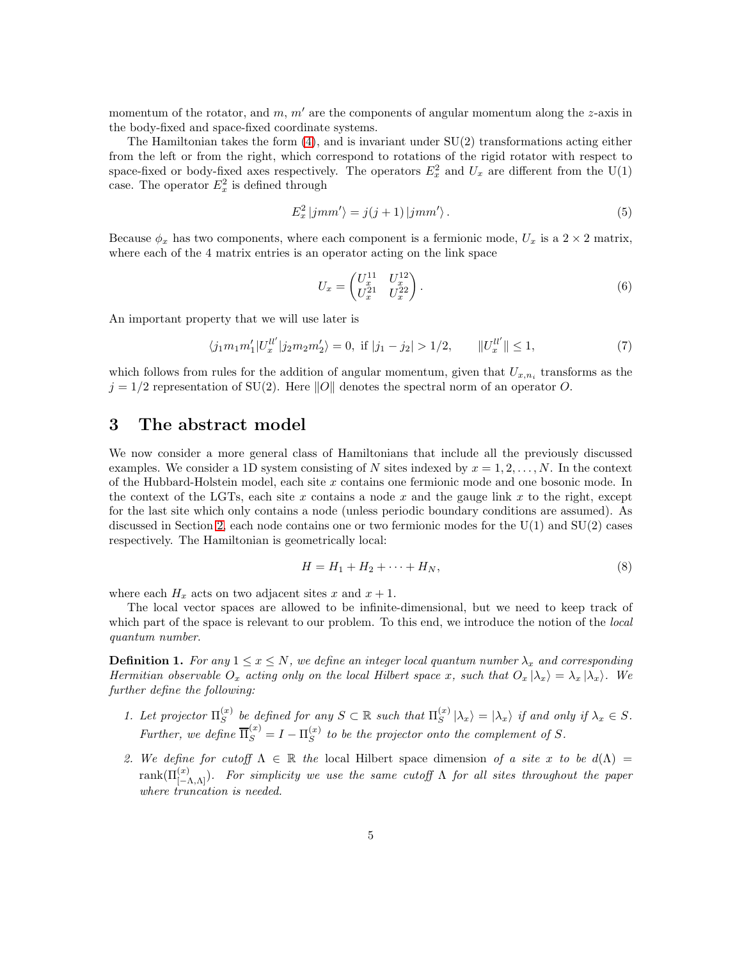momentum of the rotator, and  $m, m'$  are the components of angular momentum along the z-axis in the body-fixed and space-fixed coordinate systems.

The Hamiltonian takes the form  $(4)$ , and is invariant under  $SU(2)$  transformations acting either from the left or from the right, which correspond to rotations of the rigid rotator with respect to space-fixed or body-fixed axes respectively. The operators  $E_x^2$  and  $U_x$  are different from the U(1) case. The operator  $E_x^2$  is defined through

<span id="page-4-2"></span>
$$
E_x^2 | jmm'\rangle = j(j+1) | jmm'\rangle.
$$
 (5)

Because  $\phi_x$  has two components, where each component is a fermionic mode,  $U_x$  is a  $2 \times 2$  matrix, where each of the 4 matrix entries is an operator acting on the link space

$$
U_x = \begin{pmatrix} U_x^{11} & U_x^{12} \\ U_x^{21} & U_x^{22} \end{pmatrix} . \tag{6}
$$

An important property that we will use later is

$$
\langle j_1 m_1 m_1' | U_x^{ll'} | j_2 m_2 m_2' \rangle = 0, \text{ if } |j_1 - j_2| > 1/2, \qquad ||U_x^{ll'}|| \le 1,
$$
 (7)

which follows from rules for the addition of angular momentum, given that  $U_{x,n_i}$  transforms as the  $j = 1/2$  representation of SU(2). Here  $||O||$  denotes the spectral norm of an operator O.

### <span id="page-4-0"></span>3 The abstract model

We now consider a more general class of Hamiltonians that include all the previously discussed examples. We consider a 1D system consisting of N sites indexed by  $x = 1, 2, \ldots, N$ . In the context of the Hubbard-Holstein model, each site x contains one fermionic mode and one bosonic mode. In the context of the LGTs, each site  $x$  contains a node  $x$  and the gauge link  $x$  to the right, except for the last site which only contains a node (unless periodic boundary conditions are assumed). As discussed in Section [2,](#page-2-0) each node contains one or two fermionic modes for the  $U(1)$  and  $SU(2)$  cases respectively. The Hamiltonian is geometrically local:

$$
H = H_1 + H_2 + \dots + H_N,\tag{8}
$$

where each  $H_x$  acts on two adjacent sites x and  $x + 1$ .

The local vector spaces are allowed to be infinite-dimensional, but we need to keep track of which part of the space is relevant to our problem. To this end, we introduce the notion of the *local* quantum number.

<span id="page-4-1"></span>**Definition 1.** For any  $1 \le x \le N$ , we define an integer local quantum number  $\lambda_x$  and corresponding Hermitian observable  $O_x$  acting only on the local Hilbert space x, such that  $O_x |\lambda_x\rangle = \lambda_x |\lambda_x\rangle$ . We further define the following:

- 1. Let projector  $\Pi_S^{(x)}$  $S(S^{(x)}$  be defined for any  $S \subset \mathbb{R}$  such that  $\Pi_S^{(x)}$  $\langle S \rangle_{S}^{(x)} |\lambda_{x}\rangle = |\lambda_{x}\rangle$  if and only if  $\lambda_{x} \in S$ . Further, we define  $\overline{\Pi}_{S}^{(x)} = I - \Pi_{S}^{(x)}$  $S<sup>(x)</sup>$  to be the projector onto the complement of S.
- 2. We define for cutoff  $\Lambda \in \mathbb{R}$  the local Hilbert space dimension of a site x to be  $d(\Lambda)$  $\mathrm{rank}(\Pi^{(x)}_{[-\Lambda,\Lambda]})$ . For simplicity we use the same cutoff  $\Lambda$  for all sites throughout the paper where truncation is needed.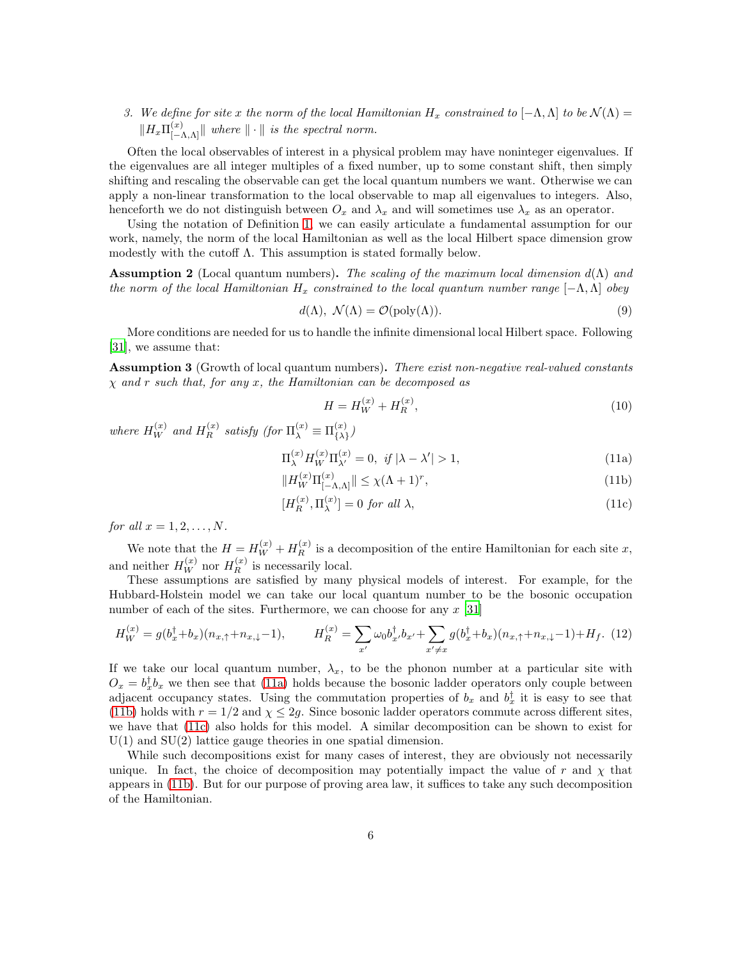3. We define for site x the norm of the local Hamiltonian  $H_x$  constrained to  $[-\Lambda, \Lambda]$  to be  $\mathcal{N}(\Lambda) =$  $||H_x \Pi_{[-\Lambda,\Lambda]}^{(x)}||$  where  $||\cdot||$  is the spectral norm.

Often the local observables of interest in a physical problem may have noninteger eigenvalues. If the eigenvalues are all integer multiples of a fixed number, up to some constant shift, then simply shifting and rescaling the observable can get the local quantum numbers we want. Otherwise we can apply a non-linear transformation to the local observable to map all eigenvalues to integers. Also, henceforth we do not distinguish between  $O_x$  and  $\lambda_x$  and will sometimes use  $\lambda_x$  as an operator.

Using the notation of Definition [1,](#page-4-1) we can easily articulate a fundamental assumption for our work, namely, the norm of the local Hamiltonian as well as the local Hilbert space dimension grow modestly with the cutoff Λ. This assumption is stated formally below.

<span id="page-5-4"></span>**Assumption 2** (Local quantum numbers). The scaling of the maximum local dimension  $d(\Lambda)$  and the norm of the local Hamiltonian  $H_x$  constrained to the local quantum number range  $[-\Lambda, \Lambda]$  obey

$$
d(\Lambda), \ \mathcal{N}(\Lambda) = \mathcal{O}(\text{poly}(\Lambda)).\tag{9}
$$

<span id="page-5-3"></span>More conditions are needed for us to handle the infinite dimensional local Hilbert space. Following [\[31\]](#page-19-2), we assume that:

**Assumption 3** (Growth of local quantum numbers). There exist non-negative real-valued constants  $\chi$  and r such that, for any x, the Hamiltonian can be decomposed as

<span id="page-5-2"></span><span id="page-5-1"></span><span id="page-5-0"></span>
$$
H = H_W^{(x)} + H_R^{(x)},\tag{10}
$$

where  $H_W^{(x)}$  and  $H_R^{(x)}$  satisfy (for  $\Pi_{\lambda}^{(x)} \equiv \Pi_{\{\lambda\}}^{(x)}$  $\binom{x}{\{\lambda\}}$ 

$$
\Pi_{\lambda}^{(x)} H_W^{(x)} \Pi_{\lambda'}^{(x)} = 0, \ \text{if } |\lambda - \lambda'| > 1,
$$
\n(11a)

$$
||H_W^{(x)}\Pi_{[-\Lambda,\Lambda]}^{(x)}|| \le \chi(\Lambda+1)^r,\tag{11b}
$$

$$
[H_R^{(x)}, \Pi_\lambda^{(x)}] = 0 \text{ for all } \lambda,
$$
\n(11c)

for all  $x = 1, 2, \ldots, N$ .

We note that the  $H = H_W^{(x)} + H_R^{(x)}$  $\mathbb{R}^{(x)}$  is a decomposition of the entire Hamiltonian for each site x, and neither  $H_W^{(x)}$  nor  $H_R^{(x)}$  is necessarily local.

These assumptions are satisfied by many physical models of interest. For example, for the Hubbard-Holstein model we can take our local quantum number to be the bosonic occupation number of each of the sites. Furthermore, we can choose for any  $x \, [31]$  $x \, [31]$ 

$$
H_W^{(x)} = g(b_x^{\dagger} + b_x)(n_{x,\uparrow} + n_{x,\downarrow} - 1), \qquad H_R^{(x)} = \sum_{x'} \omega_0 b_{x'}^{\dagger} b_{x'} + \sum_{x' \neq x} g(b_x^{\dagger} + b_x)(n_{x,\uparrow} + n_{x,\downarrow} - 1) + H_f. \tag{12}
$$

If we take our local quantum number,  $\lambda_x$ , to be the phonon number at a particular site with  $O_x = b_x^{\dagger} b_x$  we then see that [\(11a\)](#page-5-0) holds because the bosonic ladder operators only couple between adjacent occupancy states. Using the commutation properties of  $b_x$  and  $b_x^{\dagger}$  it is easy to see that [\(11b\)](#page-5-1) holds with  $r = 1/2$  and  $\chi \leq 2g$ . Since bosonic ladder operators commute across different sites, we have that [\(11c\)](#page-5-2) also holds for this model. A similar decomposition can be shown to exist for  $U(1)$  and  $SU(2)$  lattice gauge theories in one spatial dimension.

While such decompositions exist for many cases of interest, they are obviously not necessarily unique. In fact, the choice of decomposition may potentially impact the value of r and  $\chi$  that appears in [\(11b\)](#page-5-1). But for our purpose of proving area law, it suffices to take any such decomposition of the Hamiltonian.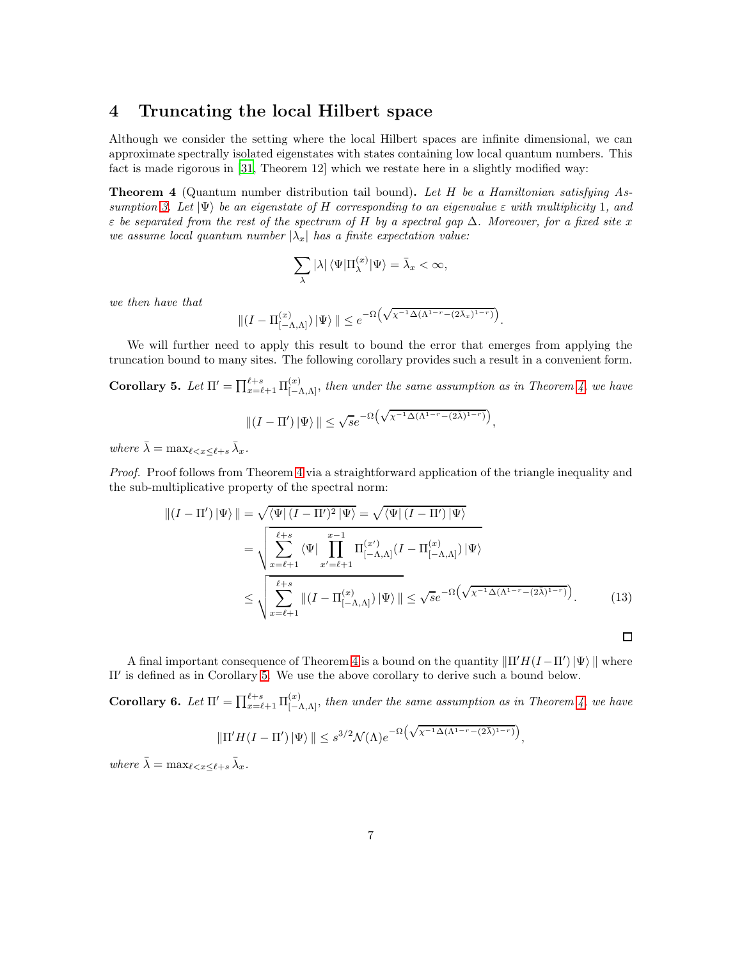### <span id="page-6-0"></span>4 Truncating the local Hilbert space

Although we consider the setting where the local Hilbert spaces are infinite dimensional, we can approximate spectrally isolated eigenstates with states containing low local quantum numbers. This fact is made rigorous in [\[31,](#page-19-2) Theorem 12] which we restate here in a slightly modified way:

<span id="page-6-1"></span>**Theorem 4** (Quantum number distribution tail bound). Let  $H$  be a Hamiltonian satisfying As-sumption [3.](#page-5-3) Let  $|\Psi\rangle$  be an eigenstate of H corresponding to an eigenvalue  $\varepsilon$  with multiplicity 1, and  $\varepsilon$  be separated from the rest of the spectrum of H by a spectral gap  $\Delta$ . Moreover, for a fixed site x we assume local quantum number  $|\lambda_x|$  has a finite expectation value:

$$
\sum_{\lambda} |\lambda| \langle \Psi | \Pi_{\lambda}^{(x)} | \Psi \rangle = \bar{\lambda}_x < \infty,
$$

we then have that

$$
\|(I-\Pi_{[-\Lambda,\Lambda]}^{(x)})\,|\Psi\rangle\|\leq e^{-\Omega\left(\sqrt{\chi^{-1}\Delta(\Lambda^{1-r}-(2\bar\lambda_x)^{1-r})}\right)}.
$$

<span id="page-6-2"></span>We will further need to apply this result to bound the error that emerges from applying the truncation bound to many sites. The following corollary provides such a result in a convenient form.

**Corollary 5.** Let  $\Pi' = \prod_{x=\ell+1}^{\ell+s} \Pi_{[-\Lambda,\Lambda]}^{(x)}$ , then under the same assumption as in Theorem [4,](#page-6-1) we have

$$
||(I - \Pi') |\Psi\rangle|| \leq \sqrt{s} e^{-\Omega \left(\sqrt{\chi^{-1} \Delta (\Lambda^{1-r} - (2\bar{\lambda})^{1-r})}\right)},
$$

where  $\bar{\lambda} = \max_{\ell \leq x \leq \ell + s} \bar{\lambda}_x$ .

Proof. Proof follows from Theorem [4](#page-6-1) via a straightforward application of the triangle inequality and the sub-multiplicative property of the spectral norm:

$$
\| (I - \Pi') | \Psi \rangle \| = \sqrt{\langle \Psi | (I - \Pi')^2 | \Psi \rangle} = \sqrt{\langle \Psi | (I - \Pi') | \Psi \rangle}
$$
  
\n
$$
= \sqrt{\sum_{x=\ell+1}^{\ell+s} \langle \Psi | \prod_{x'=\ell+1}^{x-1} \Pi_{[-\Lambda,\Lambda]}^{(x')} (I - \Pi_{[-\Lambda,\Lambda]}^{(x)}) | \Psi \rangle}
$$
  
\n
$$
\leq \sqrt{\sum_{x=\ell+1}^{\ell+s} \| (I - \Pi_{[-\Lambda,\Lambda]}^{(x)}) | \Psi \rangle \|} \leq \sqrt{s} e^{-\Omega \left( \sqrt{\chi^{-1} \Delta (\Lambda^{1-r} - (2\bar{\lambda})^{1-r})} \right)}.
$$
 (13)

<span id="page-6-3"></span>A final important consequence of Theorem [4](#page-6-1) is a bound on the quantity  $\|\Pi' H (I - \Pi') \ket{\Psi}\|$  where Π′ is defined as in Corollary [5.](#page-6-2) We use the above corollary to derive such a bound below.

**Corollary 6.** Let  $\Pi' = \prod_{x=\ell+1}^{\ell+s} \Pi_{[-\Lambda,\Lambda]}^{(x)}$ , then under the same assumption as in Theorem [4,](#page-6-1) we have

$$
\|\Pi' H(I - \Pi') \,|\Psi\rangle\| \leq s^{3/2} \mathcal{N}(\Lambda) e^{-\Omega \left(\sqrt{\chi^{-1} \Delta(\Lambda^{1-r} - (2\bar{\lambda})^{1-r})}\right)},
$$

where  $\bar{\lambda} = \max_{\ell \leq x \leq \ell + s} \bar{\lambda}_x$ .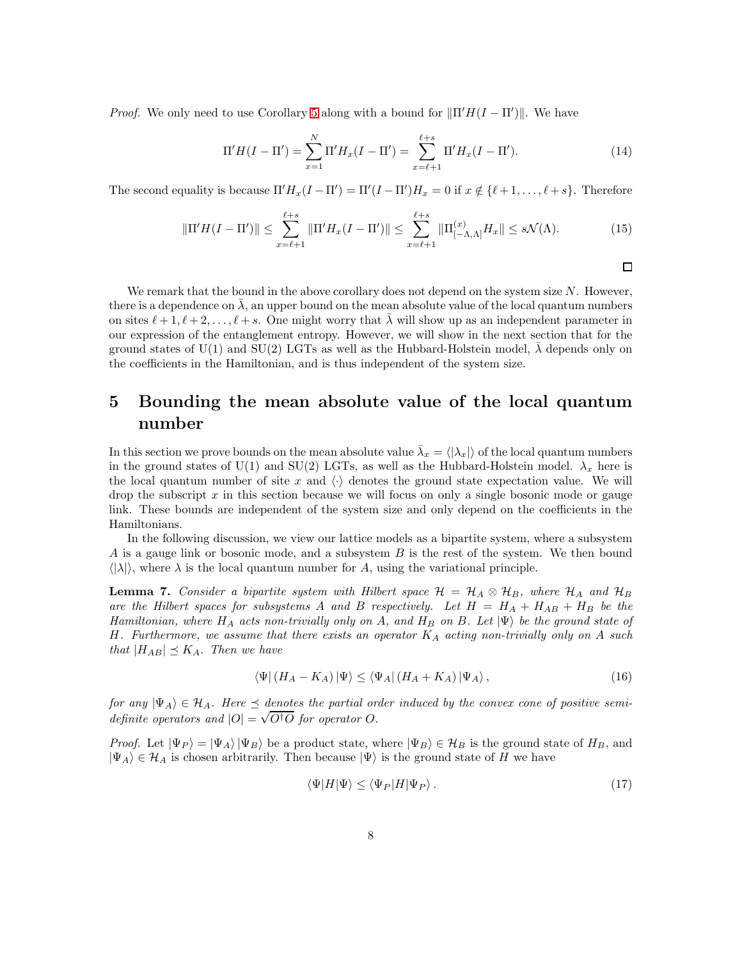*Proof.* We only need to use Corollary [5](#page-6-2) along with a bound for  $\|\Pi' H (I - \Pi')\|$ . We have

$$
\Pi' H(I - \Pi') = \sum_{x=1}^{N} \Pi' H_x(I - \Pi') = \sum_{x=\ell+1}^{\ell+s} \Pi' H_x(I - \Pi').
$$
\n(14)

 $\Box$ 

The second equality is because  $\Pi' H_x(I - \Pi') = \Pi'(I - \Pi')H_x = 0$  if  $x \notin \{\ell+1, \ldots, \ell+s\}$ . Therefore

$$
\|\Pi' H (I - \Pi')\| \le \sum_{x=\ell+1}^{\ell+s} \|\Pi' H_x (I - \Pi')\| \le \sum_{x=\ell+1}^{\ell+s} \|\Pi_{[-\Lambda,\Lambda]}^{(x)} H_x\| \le s\mathcal{N}(\Lambda). \tag{15}
$$

We remark that the bound in the above corollary does not depend on the system size  $N$ . However, there is a dependence on  $\lambda$ , an upper bound on the mean absolute value of the local quantum numbers on sites  $\ell + 1, \ell + 2, \ldots, \ell + s$ . One might worry that  $\overline{\lambda}$  will show up as an independent parameter in our expression of the entanglement entropy. However, we will show in the next section that for the ground states of U(1) and SU(2) LGTs as well as the Hubbard-Holstein model,  $\lambda$  depends only on the coefficients in the Hamiltonian, and is thus independent of the system size.

# <span id="page-7-1"></span>5 Bounding the mean absolute value of the local quantum number

In this section we prove bounds on the mean absolute value  $\bar{\lambda}_x = \langle |\lambda_x| \rangle$  of the local quantum numbers in the ground states of U(1) and SU(2) LGTs, as well as the Hubbard-Holstein model.  $\lambda_x$  here is the local quantum number of site x and  $\langle \cdot \rangle$  denotes the ground state expectation value. We will drop the subscript  $x$  in this section because we will focus on only a single bosonic mode or gauge link. These bounds are independent of the system size and only depend on the coefficients in the Hamiltonians.

In the following discussion, we view our lattice models as a bipartite system, where a subsystem A is a gauge link or bosonic mode, and a subsystem  $B$  is the rest of the system. We then bound  $\langle |\lambda| \rangle$ , where  $\lambda$  is the local quantum number for A, using the variational principle.

<span id="page-7-0"></span>**Lemma 7.** Consider a bipartite system with Hilbert space  $\mathcal{H} = \mathcal{H}_A \otimes \mathcal{H}_B$ , where  $\mathcal{H}_A$  and  $\mathcal{H}_B$ are the Hilbert spaces for subsystems A and B respectively. Let  $H = H_A + H_{AB} + H_B$  be the Hamiltonian, where  $H_A$  acts non-trivially only on A, and  $H_B$  on B. Let  $|\Psi\rangle$  be the ground state of H. Furthermore, we assume that there exists an operator  $K_A$  acting non-trivially only on A such that  $|H_{AB}| \preceq K_A$ . Then we have

<span id="page-7-3"></span>
$$
\langle \Psi | \left( H_A - K_A \right) | \Psi \rangle \le \langle \Psi_A | \left( H_A + K_A \right) | \Psi_A \rangle, \tag{16}
$$

for any  $|\Psi_A\rangle \in \mathcal{H}_A$ . Here  $\preceq$  denotes the partial order induced by the convex cone of positive semidefinite operators and  $|O| = \sqrt{O^{\dagger}O}$  for operator O.

*Proof.* Let  $|\Psi_P\rangle = |\Psi_A\rangle |\Psi_B\rangle$  be a product state, where  $|\Psi_B\rangle \in \mathcal{H}_B$  is the ground state of  $H_B$ , and  $|\Psi_A\rangle \in \mathcal{H}_A$  is chosen arbitrarily. Then because  $|\Psi\rangle$  is the ground state of H we have

<span id="page-7-2"></span>
$$
\langle \Psi | H | \Psi \rangle \le \langle \Psi_P | H | \Psi_P \rangle. \tag{17}
$$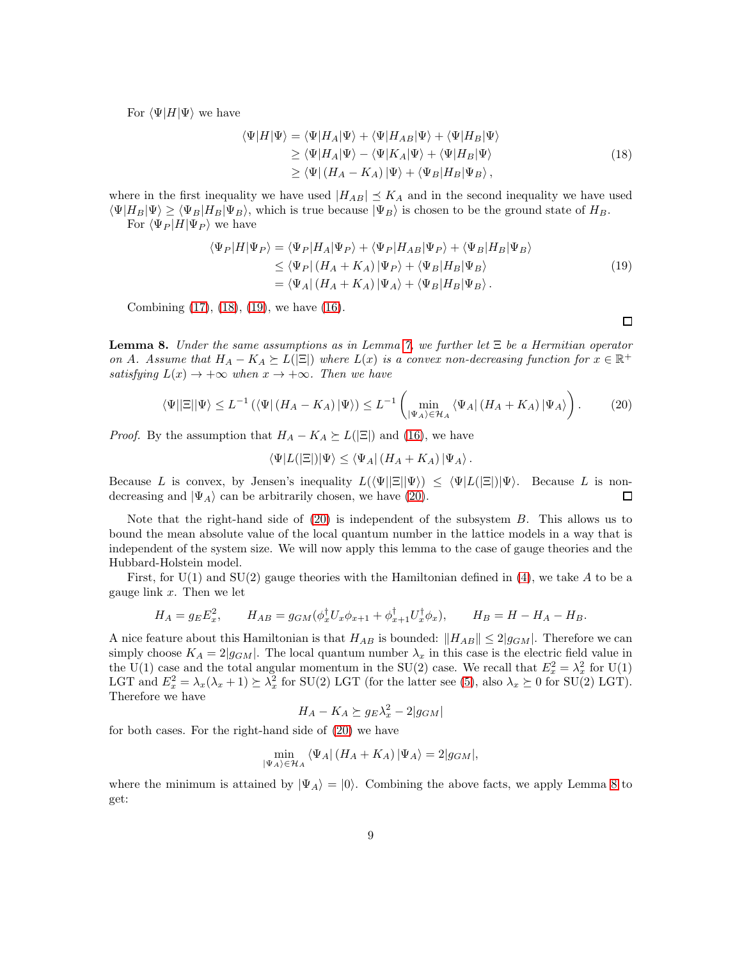For  $\langle \Psi | H | \Psi \rangle$  we have

<span id="page-8-2"></span>
$$
\langle \Psi | H | \Psi \rangle = \langle \Psi | H_A | \Psi \rangle + \langle \Psi | H_{AB} | \Psi \rangle + \langle \Psi | H_B | \Psi \rangle \ge \langle \Psi | H_A | \Psi \rangle - \langle \Psi | K_A | \Psi \rangle + \langle \Psi | H_B | \Psi \rangle \ge \langle \Psi | (H_A - K_A) | \Psi \rangle + \langle \Psi_B | H_B | \Psi_B \rangle,
$$
\n(18)

where in the first inequality we have used  $|H_{AB}| \preceq K_A$  and in the second inequality we have used  $\langle \Psi | H_B | \Psi \rangle \ge \langle \Psi_B | H_B | \Psi_B \rangle$ , which is true because  $|\Psi_B \rangle$  is chosen to be the ground state of  $H_B$ .

For  $\langle \Psi_P | H | \Psi_P \rangle$  we have

<span id="page-8-3"></span>
$$
\langle \Psi_P | H | \Psi_P \rangle = \langle \Psi_P | H_A | \Psi_P \rangle + \langle \Psi_P | H_{AB} | \Psi_P \rangle + \langle \Psi_B | H_B | \Psi_B \rangle \leq \langle \Psi_P | (H_A + K_A) | \Psi_P \rangle + \langle \Psi_B | H_B | \Psi_B \rangle = \langle \Psi_A | (H_A + K_A) | \Psi_A \rangle + \langle \Psi_B | H_B | \Psi_B \rangle.
$$
\n(19)

Combining [\(17\)](#page-7-2), [\(18\)](#page-8-2), [\(19\)](#page-8-3), we have [\(16\)](#page-7-3).

<span id="page-8-0"></span>**Lemma 8.** Under the same assumptions as in Lemma [7,](#page-7-0) we further let  $\Xi$  be a Hermitian operator on A. Assume that  $H_A - K_A \geq L(|\Xi|)$  where  $L(x)$  is a convex non-decreasing function for  $x \in \mathbb{R}^+$ satisfying  $L(x) \rightarrow +\infty$  when  $x \rightarrow +\infty$ . Then we have

<span id="page-8-4"></span>
$$
\langle \Psi \vert \vert \Xi \vert \vert \Psi \rangle \leq L^{-1} \left( \langle \Psi \vert \left( H_A - K_A \right) \vert \Psi \rangle \right) \leq L^{-1} \left( \min_{\vert \Psi_A \rangle \in \mathcal{H}_A} \left\langle \Psi_A \vert \left( H_A + K_A \right) \vert \Psi_A \rangle \right). \tag{20}
$$

*Proof.* By the assumption that  $H_A - K_A \succeq L(|\Xi|)$  and [\(16\)](#page-7-3), we have

$$
\langle \Psi | L(|\Xi|) | \Psi \rangle \le \langle \Psi_A | (H_A + K_A) | \Psi_A \rangle.
$$

Because L is convex, by Jensen's inequality  $L(\langle \Psi | \Xi | \Psi \rangle) \leq \langle \Psi | L(|\Xi|) | \Psi \rangle$ . Because L is non-<br>decreasing and  $|\Psi_A\rangle$  can be arbitrarily chosen, we have (20). decreasing and  $|\Psi_A\rangle$  can be arbitrarily chosen, we have [\(20\)](#page-8-4).

Note that the right-hand side of  $(20)$  is independent of the subsystem  $B$ . This allows us to bound the mean absolute value of the local quantum number in the lattice models in a way that is independent of the system size. We will now apply this lemma to the case of gauge theories and the Hubbard-Holstein model.

First, for  $U(1)$  and  $SU(2)$  gauge theories with the Hamiltonian defined in [\(4\)](#page-3-0), we take A to be a gauge link  $x$ . Then we let

$$
H_A = g_E E_x^2, \qquad H_{AB} = g_{GM} (\phi_x^{\dagger} U_x \phi_{x+1} + \phi_{x+1}^{\dagger} U_x^{\dagger} \phi_x), \qquad H_B = H - H_A - H_B.
$$

A nice feature about this Hamiltonian is that  $H_{AB}$  is bounded:  $\|H_{AB}\| \leq 2|g_{GM}|$ . Therefore we can simply choose  $K_A = 2|g_{GM}|$ . The local quantum number  $\lambda_x$  in this case is the electric field value in the U(1) case and the total angular momentum in the SU(2) case. We recall that  $E_x^2 = \lambda_x^2$  for U(1) LGT and  $E_x^2 = \lambda_x(\lambda_x + 1) \succeq \lambda_x^2$  for SU(2) LGT (for the latter see [\(5\)](#page-4-2), also  $\lambda_x \succeq 0$  for SU(2) LGT). Therefore we have

$$
H_A - K_A \succeq g_E \lambda_x^2 - 2|g_{GM}|
$$

for both cases. For the right-hand side of [\(20\)](#page-8-4) we have

$$
\min_{|\Psi_A\rangle \in \mathcal{H}_A} \langle \Psi_A | (H_A + K_A) | \Psi_A \rangle = 2 |g_{GM}|,
$$

<span id="page-8-1"></span>where the minimum is attained by  $|\Psi_A\rangle = |0\rangle$ . Combining the above facts, we apply Lemma [8](#page-8-0) to get:

 $\Box$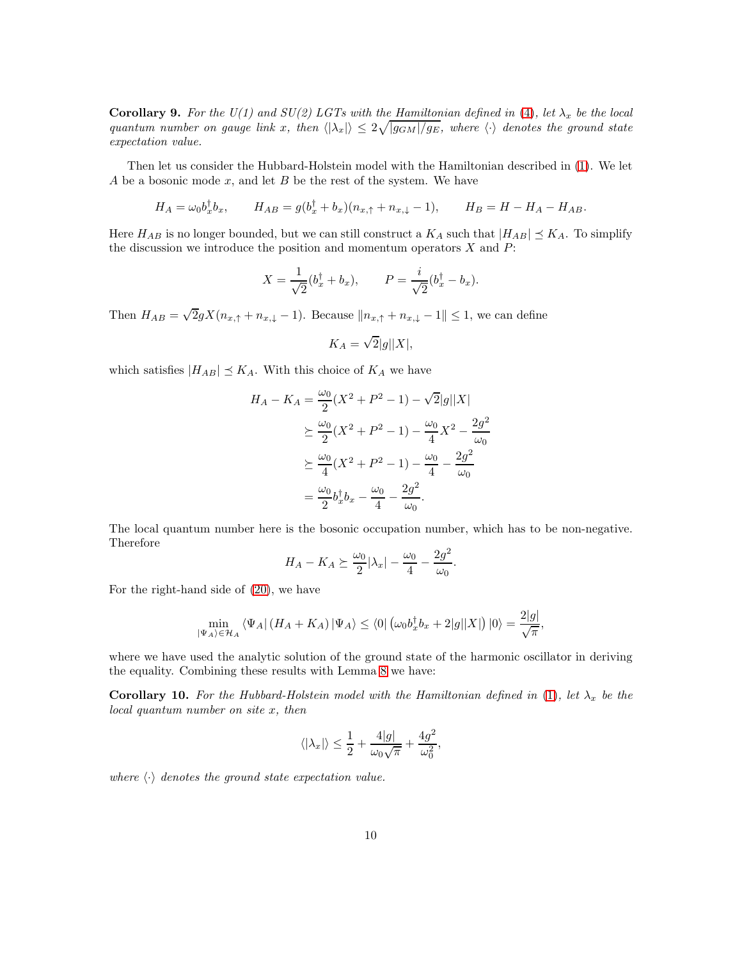Corollary 9. For the U(1) and SU(2) LGTs with the Hamiltonian defined in [\(4\)](#page-3-0), let  $\lambda_x$  be the local quantum number on gauge link x, then  $\langle |\lambda_x| \rangle \leq 2\sqrt{|g_{GM}|/g_E}$ , where  $\langle \cdot \rangle$  denotes the ground state expectation value.

Then let us consider the Hubbard-Holstein model with the Hamiltonian described in [\(1\)](#page-3-1). We let A be a bosonic mode  $x$ , and let  $B$  be the rest of the system. We have

$$
H_A = \omega_0 b_x^{\dagger} b_x, \qquad H_{AB} = g(b_x^{\dagger} + b_x)(n_{x,\uparrow} + n_{x,\downarrow} - 1), \qquad H_B = H - H_A - H_{AB}.
$$

Here  $H_{AB}$  is no longer bounded, but we can still construct a  $K_A$  such that  $|H_{AB}| \preceq K_A$ . To simplify the discussion we introduce the position and momentum operators  $X$  and  $P$ :

$$
X = \frac{1}{\sqrt{2}}(b_x^{\dagger} + b_x), \qquad P = \frac{i}{\sqrt{2}}(b_x^{\dagger} - b_x).
$$

Then  $H_{AB} = \sqrt{2}gX(n_{x,\uparrow} + n_{x,\downarrow} - 1)$ . Because  $||n_{x,\uparrow} + n_{x,\downarrow} - 1|| \leq 1$ , we can define

$$
K_A = \sqrt{2}|g||X|,
$$

which satisfies  $|H_{AB}| \preceq K_A$ . With this choice of  $K_A$  we have

$$
H_A - K_A = \frac{\omega_0}{2} (X^2 + P^2 - 1) - \sqrt{2} |g||X|
$$
  
\n
$$
\geq \frac{\omega_0}{2} (X^2 + P^2 - 1) - \frac{\omega_0}{4} X^2 - \frac{2g^2}{\omega_0}
$$
  
\n
$$
\geq \frac{\omega_0}{4} (X^2 + P^2 - 1) - \frac{\omega_0}{4} - \frac{2g^2}{\omega_0}
$$
  
\n
$$
= \frac{\omega_0}{2} b_x^{\dagger} b_x - \frac{\omega_0}{4} - \frac{2g^2}{\omega_0}.
$$

The local quantum number here is the bosonic occupation number, which has to be non-negative. Therefore  $\overline{2}$ 

$$
H_A - K_A \succeq \frac{\omega_0}{2} |\lambda_x| - \frac{\omega_0}{4} - \frac{2g^2}{\omega_0}.
$$

For the right-hand side of [\(20\)](#page-8-4), we have

$$
\min_{|\Psi_A\rangle \in \mathcal{H}_A} \langle \Psi_A | (H_A + K_A) | \Psi_A \rangle \le \langle 0 | (\omega_0 b_x^{\dagger} b_x + 2|g| |X|) | 0 \rangle = \frac{2|g|}{\sqrt{\pi}},
$$

<span id="page-9-0"></span>where we have used the analytic solution of the ground state of the harmonic oscillator in deriving the equality. Combining these results with Lemma [8](#page-8-0) we have:

**Corollary 10.** For the Hubbard-Holstein model with the Hamiltonian defined in [\(1\)](#page-3-1), let  $\lambda_x$  be the local quantum number on site x, then

$$
\langle |\lambda_x| \rangle \le \frac{1}{2} + \frac{4|g|}{\omega_0 \sqrt{\pi}} + \frac{4g^2}{\omega_0^2},
$$

where  $\langle \cdot \rangle$  denotes the ground state expectation value.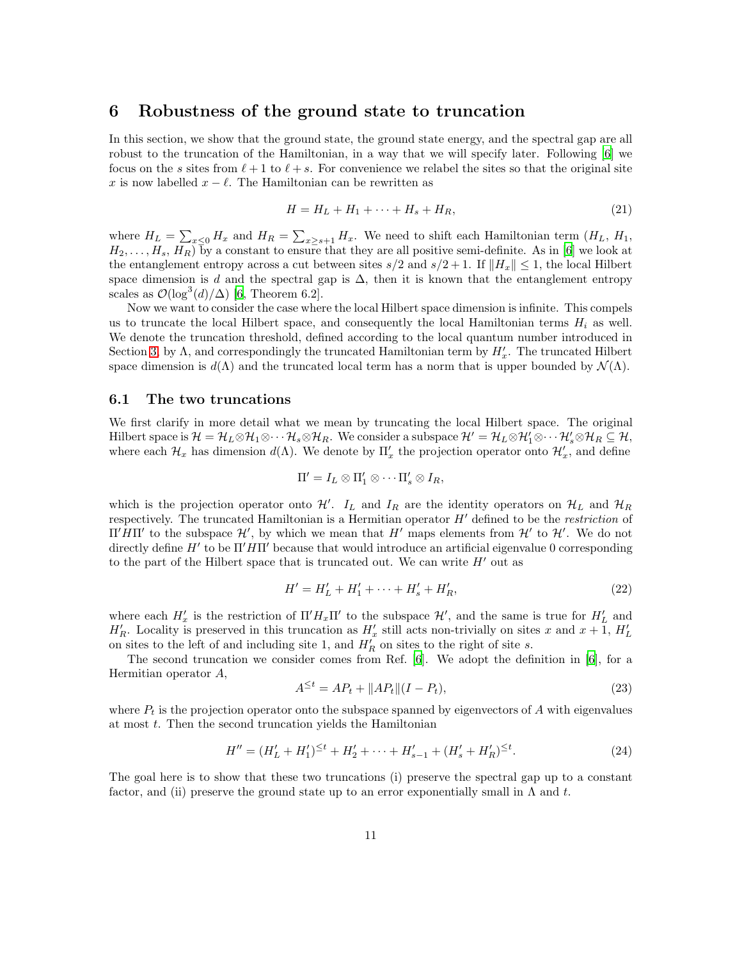### <span id="page-10-0"></span>6 Robustness of the ground state to truncation

In this section, we show that the ground state, the ground state energy, and the spectral gap are all robust to the truncation of the Hamiltonian, in a way that we will specify later. Following [\[6](#page-17-1)] we focus on the s sites from  $\ell + 1$  to  $\ell + s$ . For convenience we relabel the sites so that the original site x is now labelled  $x - \ell$ . The Hamiltonian can be rewritten as

<span id="page-10-1"></span>
$$
H = HL + H1 + \dots + Hs + HR,
$$
\n(21)

where  $H_L = \sum_{x \leq 0} H_x$  and  $H_R = \sum_{x \geq s+1} H_x$ . We need to shift each Hamiltonian term  $(H_L, H_1, H_2)$  $H_2, \ldots, H_s, H_R$ ) by a constant to ensure that they are all positive semi-definite. As in [\[6](#page-17-1)] we look at the entanglement entropy across a cut between sites  $s/2$  and  $s/2 + 1$ . If  $||H_x|| \leq 1$ , the local Hilbert space dimension is d and the spectral gap is  $\Delta$ , then it is known that the entanglement entropy scales as  $\mathcal{O}(\log^3(d)/\Delta)$  [\[6,](#page-17-1) Theorem 6.2].

Now we want to consider the case where the local Hilbert space dimension is infinite. This compels us to truncate the local Hilbert space, and consequently the local Hamiltonian terms  $H_i$  as well. We denote the truncation threshold, defined according to the local quantum number introduced in Section [3,](#page-4-0) by  $\Lambda$ , and correspondingly the truncated Hamiltonian term by  $H'_x$ . The truncated Hilbert space dimension is  $d(\Lambda)$  and the truncated local term has a norm that is upper bounded by  $\mathcal{N}(\Lambda)$ .

#### 6.1 The two truncations

We first clarify in more detail what we mean by truncating the local Hilbert space. The original Hilbert space is  $\mathcal{H} = \mathcal{H}_L \otimes \mathcal{H}_1 \otimes \cdots \mathcal{H}_s \otimes \mathcal{H}_R$ . We consider a subspace  $\mathcal{H}' = \mathcal{H}_L \otimes \mathcal{H}'_1 \otimes \cdots \mathcal{H}'_s \otimes \mathcal{H}_R \subseteq \mathcal{H}$ , where each  $\mathcal{H}_x$  has dimension  $d(\Lambda)$ . We denote by  $\Pi'_x$  the projection operator onto  $\mathcal{H}'_x$ , and define

$$
\Pi' = I_L \otimes \Pi'_1 \otimes \cdots \Pi'_s \otimes I_R,
$$

which is the projection operator onto  $\mathcal{H}'$ .  $I_L$  and  $I_R$  are the identity operators on  $\mathcal{H}_L$  and  $\mathcal{H}_R$ respectively. The truncated Hamiltonian is a Hermitian operator  $H'$  defined to be the *restriction* of  $\Pi' H \Pi'$  to the subspace  $\mathcal{H}'$ , by which we mean that  $H'$  maps elements from  $\mathcal{H}'$  to  $\mathcal{H}'$ . We do not directly define  $H'$  to be  $\Pi' H \Pi'$  because that would introduce an artificial eigenvalue 0 corresponding to the part of the Hilbert space that is truncated out. We can write  $H'$  out as

$$
H' = H'_L + H'_1 + \dots + H'_s + H'_R,\tag{22}
$$

where each  $H'_x$  is the restriction of  $\Pi'H_x\Pi'$  to the subspace  $\mathcal{H}'$ , and the same is true for  $H'_L$  and  $H_R'$ . Locality is preserved in this truncation as  $H'_x$  still acts non-trivially on sites x and  $x + 1$ ,  $H_L'$ on sites to the left of and including site 1, and  $H'_R$  on sites to the right of site s.

The second truncation we consider comes from Ref. [\[6](#page-17-1)]. We adopt the definition in [\[6](#page-17-1)], for a Hermitian operator A,

$$
A^{\leq t} = AP_t + ||AP_t||(I - P_t),
$$
\n(23)

where  $P_t$  is the projection operator onto the subspace spanned by eigenvectors of A with eigenvalues at most  $t$ . Then the second truncation yields the Hamiltonian

<span id="page-10-2"></span>
$$
H'' = (H'_L + H'_1)^{\leq t} + H'_2 + \dots + H'_{s-1} + (H'_s + H'_R)^{\leq t}.
$$
\n(24)

The goal here is to show that these two truncations (i) preserve the spectral gap up to a constant factor, and (ii) preserve the ground state up to an error exponentially small in  $\Lambda$  and t.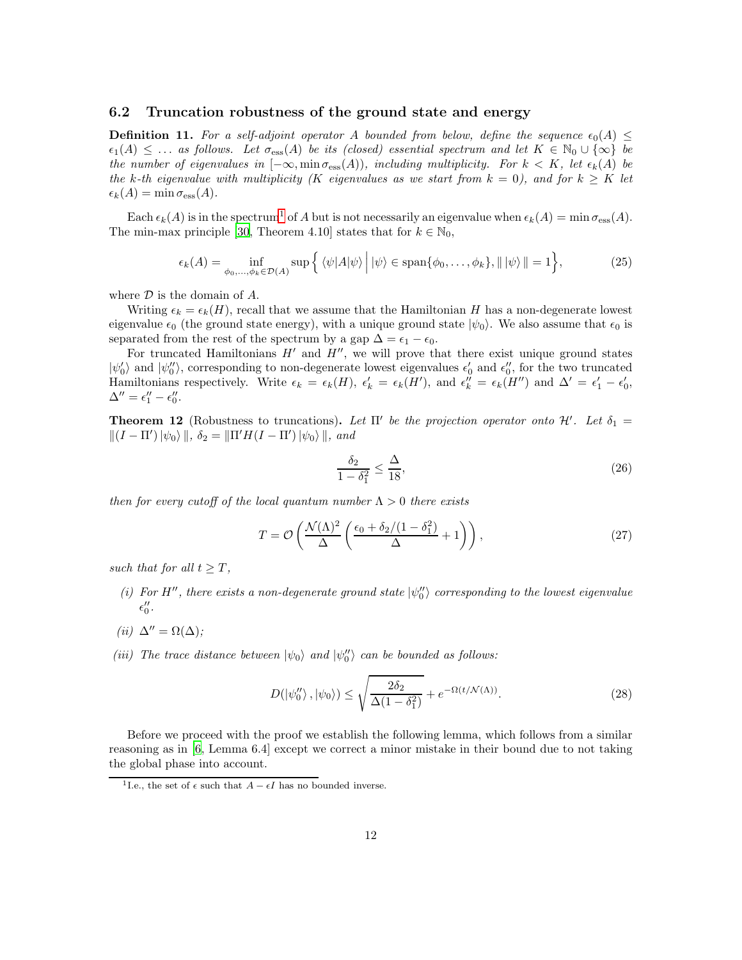#### 6.2 Truncation robustness of the ground state and energy

**Definition 11.** For a self-adjoint operator A bounded from below, define the sequence  $\epsilon_0(A) \leq$  $\epsilon_1(A) \leq \ldots$  as follows. Let  $\sigma_{\rm ess}(A)$  be its (closed) essential spectrum and let  $K \in \mathbb{N}_0 \cup \{\infty\}$  be the number of eigenvalues in  $[-\infty, \min \sigma_{\text{ess}}(A))$ , including multiplicity. For  $k < K$ , let  $\epsilon_k(A)$  be the k-th eigenvalue with multiplicity (K eigenvalues as we start from  $k = 0$ ), and for  $k \geq K$  let  $\epsilon_k(A) = \min \sigma_{\mathrm{ess}}(A).$ 

Each  $\epsilon_k(A)$  is in the spectrum<sup>[1](#page-11-1)</sup> of A but is not necessarily an eigenvalue when  $\epsilon_k(A) = \min \sigma_{\text{ess}}(A)$ . The min-max principle [\[30](#page-19-9), Theorem 4.10] states that for  $k \in \mathbb{N}_0$ ,

<span id="page-11-2"></span>
$$
\epsilon_k(A) = \inf_{\phi_0, \dots, \phi_k \in \mathcal{D}(A)} \sup \left\{ \left\langle \psi | A | \psi \right\rangle \middle| |\psi \rangle \in \text{span}\{\phi_0, \dots, \phi_k\}, \|\ket{\psi}\| = 1 \right\},\tag{25}
$$

where  $D$  is the domain of  $A$ .

Writing  $\epsilon_k = \epsilon_k(H)$ , recall that we assume that the Hamiltonian H has a non-degenerate lowest eigenvalue  $\epsilon_0$  (the ground state energy), with a unique ground state  $|\psi_0\rangle$ . We also assume that  $\epsilon_0$  is separated from the rest of the spectrum by a gap  $\Delta = \epsilon_1 - \epsilon_0$ .

For truncated Hamiltonians  $H'$  and  $H''$ , we will prove that there exist unique ground states  $|\psi_0\rangle$  and  $|\psi_0\rangle$ , corresponding to non-degenerate lowest eigenvalues  $\epsilon_0$  and  $\epsilon_0$ , for the two truncated Hamiltonians respectively. Write  $\epsilon_k = \epsilon_k(H)$ ,  $\epsilon'_k = \epsilon_k(H')$ , and  $\epsilon''_k = \epsilon_k(H'')$  and  $\Delta' = \epsilon'_1 - \epsilon'_0$ ,  $\Delta'' = \epsilon_1'' - \epsilon_0''.$ 

<span id="page-11-0"></span>**Theorem 12** (Robustness to truncations). Let  $\Pi'$  be the projection operator onto  $\mathcal{H}'$ . Let  $\delta_1 =$  $||(I - \Pi') ||\psi_0||$ ,  $\delta_2 = ||\Pi' H (I - \Pi') ||\psi_0||$ , and

$$
\frac{\delta_2}{1 - \delta_1^2} \le \frac{\Delta}{18},\tag{26}
$$

then for every cutoff of the local quantum number  $\Lambda > 0$  there exists

$$
T = \mathcal{O}\left(\frac{\mathcal{N}(\Lambda)^2}{\Delta} \left(\frac{\epsilon_0 + \delta_2/(1-\delta_1^2)}{\Delta} + 1\right)\right),\tag{27}
$$

such that for all  $t > T$ .

- (i) For H'', there exists a non-degenerate ground state  $|\psi_0''\rangle$  corresponding to the lowest eigenvalue  $\epsilon''_0$ .
- (ii)  $\Delta'' = \Omega(\Delta)$ ;
- (iii) The trace distance between  $|\psi_0\rangle$  and  $|\psi''_0\rangle$  can be bounded as follows:

$$
D(\left|\psi_0''\right\rangle, \left|\psi_0\right\rangle) \le \sqrt{\frac{2\delta_2}{\Delta(1-\delta_1^2)}} + e^{-\Omega(t/\mathcal{N}(\Lambda))}.
$$
 (28)

Before we proceed with the proof we establish the following lemma, which follows from a similar reasoning as in [\[6](#page-17-1), Lemma 6.4] except we correct a minor mistake in their bound due to not taking the global phase into account.

<span id="page-11-3"></span><span id="page-11-1"></span><sup>&</sup>lt;sup>1</sup>I.e., the set of  $\epsilon$  such that  $A - \epsilon I$  has no bounded inverse.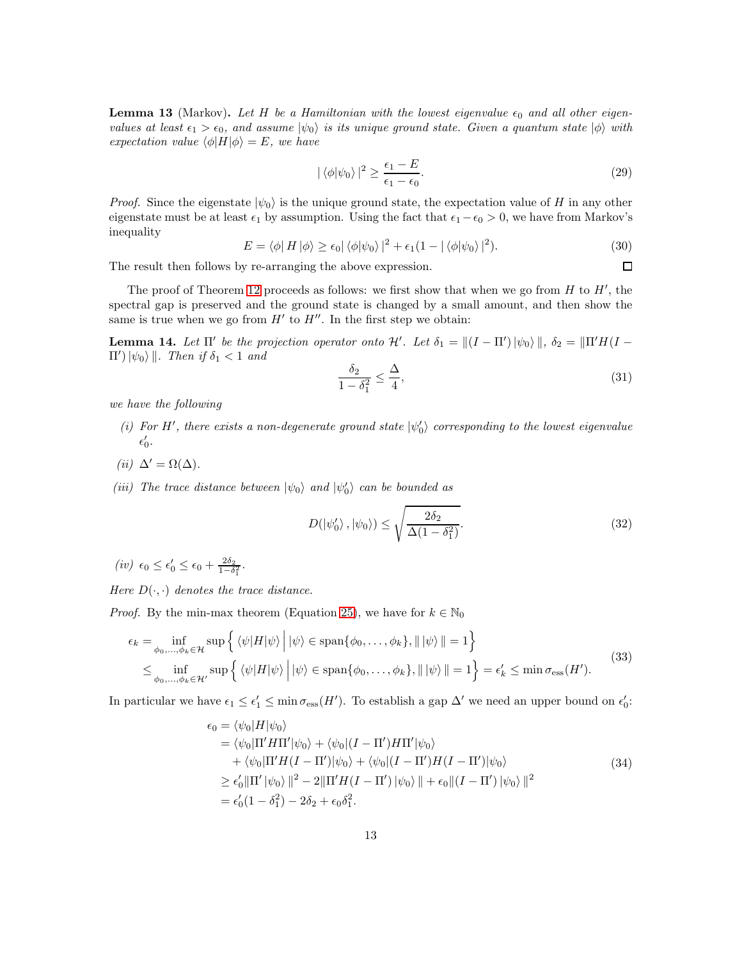**Lemma 13** (Markov). Let H be a Hamiltonian with the lowest eigenvalue  $\epsilon_0$  and all other eigenvalues at least  $\epsilon_1 > \epsilon_0$ , and assume  $|\psi_0\rangle$  is its unique ground state. Given a quantum state  $|\phi\rangle$  with expectation value  $\langle \phi | H | \phi \rangle = E$ , we have

$$
|\langle \phi | \psi_0 \rangle|^2 \ge \frac{\epsilon_1 - E}{\epsilon_1 - \epsilon_0}.\tag{29}
$$

*Proof.* Since the eigenstate  $|\psi_0\rangle$  is the unique ground state, the expectation value of H in any other eigenstate must be at least  $\epsilon_1$  by assumption. Using the fact that  $\epsilon_1 - \epsilon_0 > 0$ , we have from Markov's inequality

$$
E = \langle \phi | H | \phi \rangle \ge \epsilon_0 |\langle \phi | \psi_0 \rangle|^2 + \epsilon_1 (1 - |\langle \phi | \psi_0 \rangle|^2). \tag{30}
$$

The result then follows by re-arranging the above expression.

The proof of Theorem [12](#page-11-0) proceeds as follows: we first show that when we go from  $H$  to  $H'$ , the spectral gap is preserved and the ground state is changed by a small amount, and then show the same is true when we go from  $H'$  to  $H''$ . In the first step we obtain:

<span id="page-12-2"></span>**Lemma 14.** Let  $\Pi'$  be the projection operator onto  $\mathcal{H}'$ . Let  $\delta_1 = ||(I - \Pi')||\psi_0||$ ,  $\delta_2 = ||\Pi' H(I - \Pi')||\psi_0||$  $\Pi' \mid \psi_0 \rangle \parallel$ . Then if  $\delta_1 < 1$  and

<span id="page-12-1"></span>
$$
\frac{\delta_2}{1 - \delta_1^2} \le \frac{\Delta}{4},\tag{31}
$$

 $\Box$ 

we have the following

- (i) For H', there exists a non-degenerate ground state  $|\psi_0\rangle$  corresponding to the lowest eigenvalue  $\epsilon'_0$ .
- (ii)  $\Delta' = \Omega(\Delta)$ .
- (iii) The trace distance between  $|\psi_0\rangle$  and  $|\psi'_0\rangle$  can be bounded as

$$
D(|\psi_0'\rangle, |\psi_0\rangle) \le \sqrt{\frac{2\delta_2}{\Delta(1 - \delta_1^2)}}.
$$
\n(32)

(iv)  $\epsilon_0 \leq \epsilon'_0 \leq \epsilon_0 + \frac{2\delta_2}{1-\delta_1^2}$ .

Here  $D(\cdot, \cdot)$  denotes the trace distance.

*Proof.* By the min-max theorem (Equation [25\)](#page-11-2), we have for  $k \in \mathbb{N}_0$ 

<span id="page-12-0"></span>
$$
\epsilon_{k} = \inf_{\phi_{0}, \dots, \phi_{k} \in \mathcal{H}} \sup \left\{ \left\langle \psi | H | \psi \right\rangle \middle| |\psi \rangle \in \text{span}\{\phi_{0}, \dots, \phi_{k}\}, \|\ket{\psi}\| = 1 \right\}
$$
  

$$
\leq \inf_{\phi_{0}, \dots, \phi_{k} \in \mathcal{H'}} \sup \left\{ \left\langle \psi | H | \psi \right\rangle \middle| |\psi \rangle \in \text{span}\{\phi_{0}, \dots, \phi_{k}\}, \|\ket{\psi}\| = 1 \right\} = \epsilon'_{k} \leq \min \sigma_{\text{ess}}(H'). \tag{33}
$$

In particular we have  $\epsilon_1 \leq \epsilon'_1 \leq \min \sigma_{\text{ess}}(H')$ . To establish a gap  $\Delta'$  we need an upper bound on  $\epsilon'_0$ :

$$
\epsilon_0 = \langle \psi_0 | H | \psi_0 \rangle
$$
  
\n
$$
= \langle \psi_0 | \Pi' H \Pi' | \psi_0 \rangle + \langle \psi_0 | (I - \Pi') H \Pi' | \psi_0 \rangle
$$
  
\n
$$
+ \langle \psi_0 | \Pi' H (I - \Pi') | \psi_0 \rangle + \langle \psi_0 | (I - \Pi') H (I - \Pi') | \psi_0 \rangle
$$
  
\n
$$
\geq \epsilon'_0 ||\Pi' | \psi_0 \rangle ||^2 - 2 ||\Pi' H (I - \Pi') | \psi_0 \rangle || + \epsilon_0 || (I - \Pi') | \psi_0 \rangle ||^2
$$
  
\n
$$
= \epsilon'_0 (1 - \delta_1^2) - 2\delta_2 + \epsilon_0 \delta_1^2.
$$
 (34)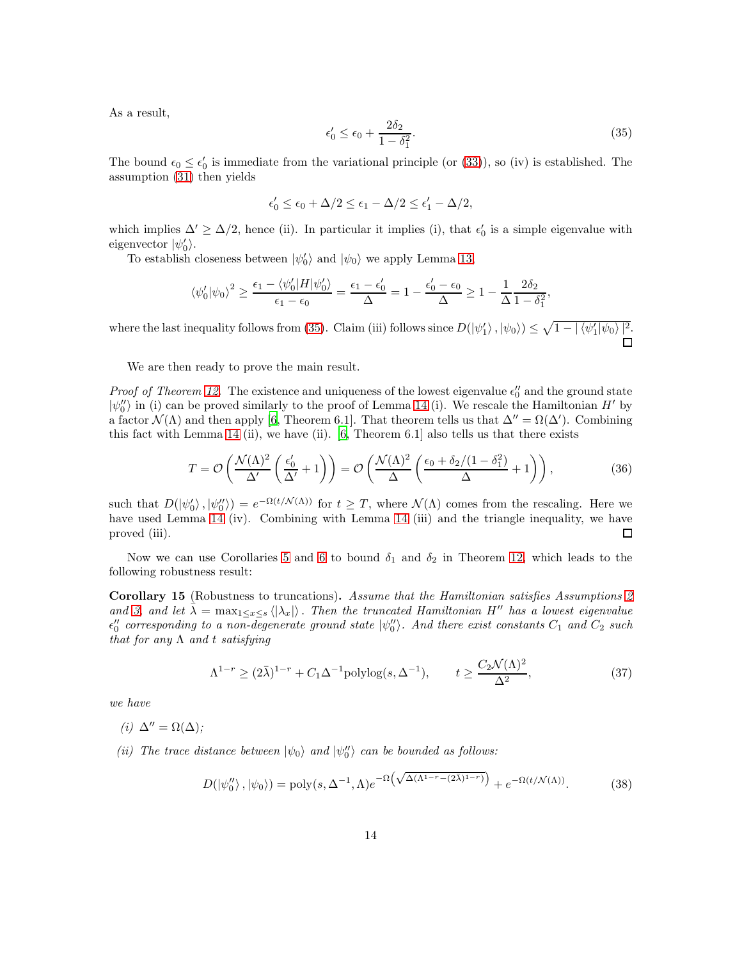As a result,

<span id="page-13-0"></span>
$$
\epsilon'_0 \le \epsilon_0 + \frac{2\delta_2}{1 - \delta_1^2}.\tag{35}
$$

The bound  $\epsilon_0 \leq \epsilon'_0$  is immediate from the variational principle (or [\(33\)](#page-12-0)), so (iv) is established. The assumption [\(31\)](#page-12-1) then yields

$$
\epsilon'_0 \le \epsilon_0 + \Delta/2 \le \epsilon_1 - \Delta/2 \le \epsilon'_1 - \Delta/2,
$$

which implies  $\Delta' \geq \Delta/2$ , hence (ii). In particular it implies (i), that  $\epsilon'_0$  is a simple eigenvalue with eigenvector  $|\psi_0'\rangle$ .

To establish closeness between  $|\psi_0'\rangle$  and  $|\psi_0\rangle$  we apply Lemma [13,](#page-11-3)

$$
\langle \psi_0' | \psi_0 \rangle^2 \ge \frac{\epsilon_1 - \langle \psi_0' | H | \psi_0' \rangle}{\epsilon_1 - \epsilon_0} = \frac{\epsilon_1 - \epsilon_0'}{\Delta} = 1 - \frac{\epsilon_0' - \epsilon_0}{\Delta} \ge 1 - \frac{1}{\Delta} \frac{2\delta_2}{1 - \delta_1^2},
$$

where the last inequality follows from [\(35\)](#page-13-0). Claim (iii) follows since  $D(\ket{\psi_1'}, \ket{\psi_0}) \leq \sqrt{1 - |\langle \psi_1' | \psi_0 \rangle|^2}$ .

We are then ready to prove the main result.

*Proof of Theorem [12.](#page-11-0)* The existence and uniqueness of the lowest eigenvalue  $\epsilon_0''$  and the ground state  $|\psi_0''\rangle$  in (i) can be proved similarly to the proof of Lemma [14](#page-12-2) (i). We rescale the Hamiltonian H' by a factor  $\mathcal{N}(\Lambda)$  and then apply [\[6,](#page-17-1) Theorem 6.1]. That theorem tells us that  $\Delta'' = \Omega(\Delta')$ . Combining this fact with Lemma [14](#page-12-2) (ii), we have (ii).  $[6,$  Theorem 6.1 also tells us that there exists

$$
T = \mathcal{O}\left(\frac{\mathcal{N}(\Lambda)^2}{\Delta'}\left(\frac{\epsilon'_0}{\Delta'}+1\right)\right) = \mathcal{O}\left(\frac{\mathcal{N}(\Lambda)^2}{\Delta}\left(\frac{\epsilon_0+\delta_2/(1-\delta_1^2)}{\Delta}+1\right)\right),\tag{36}
$$

such that  $D(\ket{\psi_0'},\ket{\psi_0''})=e^{-\Omega(t/\mathcal{N}(\Lambda))}$  for  $t\geq T$ , where  $\mathcal{N}(\Lambda)$  comes from the rescaling. Here we have used Lemma [14](#page-12-2) (iv). Combining with Lemma [14](#page-12-2) (iii) and the triangle inequality, we have proved (iii).  $\Box$ 

<span id="page-13-1"></span>Now we can use Corollaries [5](#page-6-2) and [6](#page-6-3) to bound  $\delta_1$  and  $\delta_2$  in Theorem [12,](#page-11-0) which leads to the following robustness result:

Corollary 15 (Robustness to truncations). Assume that the Hamiltonian satisfies Assumptions [2](#page-5-4) and [3,](#page-5-3) and let  $\lambda = \max_{1 \leq x \leq s} \langle |\lambda_x| \rangle$ . Then the truncated Hamiltonian H'' has a lowest eigenvalue  $\epsilon''_0$  corresponding to a non-degenerate ground state  $|\psi''_0\rangle$ . And there exist constants  $C_1$  and  $C_2$  such that for any  $\Lambda$  and t satisfying

$$
\Lambda^{1-r} \ge (2\bar{\lambda})^{1-r} + C_1 \Delta^{-1} \text{polylog}(s, \Delta^{-1}), \qquad t \ge \frac{C_2 \mathcal{N}(\Lambda)^2}{\Delta^2},\tag{37}
$$

we have

$$
(i) \ \Delta'' = \Omega(\Delta);
$$

(ii) The trace distance between  $|\psi_0\rangle$  and  $|\psi_0''\rangle$  can be bounded as follows:

$$
D(\left|\psi_0''\right\rangle, \left|\psi_0\right\rangle) = \text{poly}(s, \Delta^{-1}, \Lambda) e^{-\Omega\left(\sqrt{\Delta(\Lambda^{1-r} - (2\bar{\lambda})^{1-r})}\right)} + e^{-\Omega\left(t/\mathcal{N}(\Lambda)\right)}.
$$
 (38)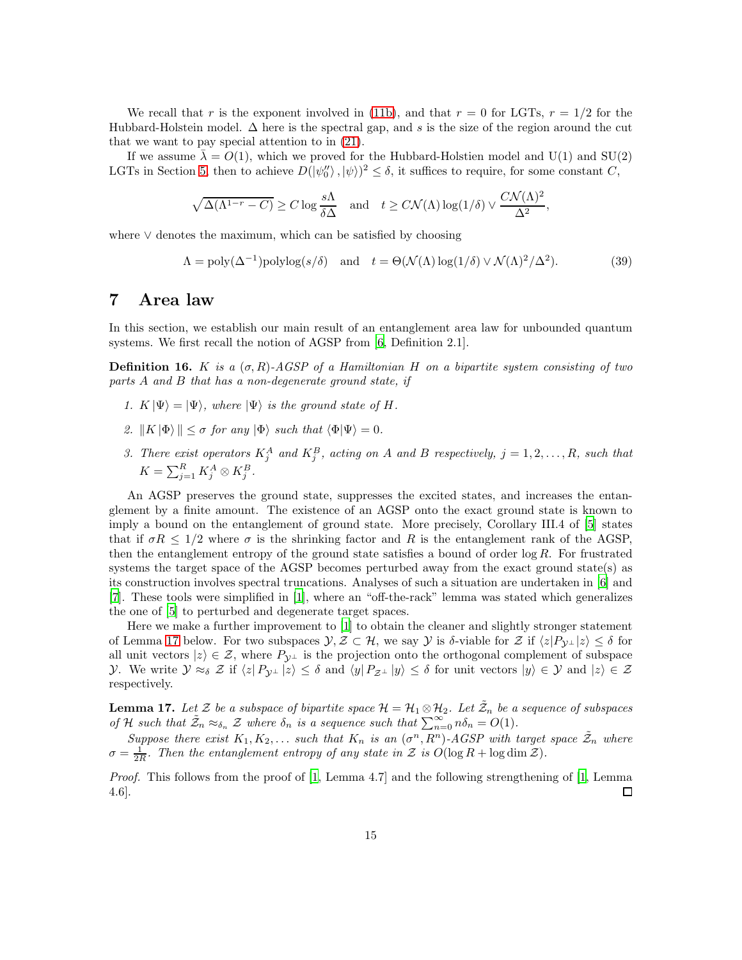We recall that r is the exponent involved in [\(11b\)](#page-5-1), and that  $r = 0$  for LGTs,  $r = 1/2$  for the Hubbard-Holstein model.  $\Delta$  here is the spectral gap, and s is the size of the region around the cut that we want to pay special attention to in [\(21\)](#page-10-1).

If we assume  $\bar{\lambda} = O(1)$ , which we proved for the Hubbard-Holstien model and U(1) and SU(2) LGTs in Section [5,](#page-7-1) then to achieve  $D(|\psi_0''\rangle, |\psi\rangle)^2 \le \delta$ , it suffices to require, for some constant C,

$$
\sqrt{\Delta(\Lambda^{1-r} - C)} \geq C \log \frac{s \Lambda}{\delta \Delta} \quad \text{and} \quad t \geq C\mathcal{N}(\Lambda) \log(1/\delta) \vee \frac{C\mathcal{N}(\Lambda)^2}{\Delta^2},
$$

where ∨ denotes the maximum, which can be satisfied by choosing

<span id="page-14-2"></span>
$$
\Lambda = \text{poly}(\Delta^{-1}) \text{polylog}(s/\delta) \quad \text{and} \quad t = \Theta(\mathcal{N}(\Lambda) \log(1/\delta) \vee \mathcal{N}(\Lambda)^2/\Delta^2). \tag{39}
$$

### <span id="page-14-0"></span>7 Area law

In this section, we establish our main result of an entanglement area law for unbounded quantum systems. We first recall the notion of AGSP from [\[6,](#page-17-1) Definition 2.1].

**Definition 16.** K is a  $(\sigma, R)$ -AGSP of a Hamiltonian H on a bipartite system consisting of two parts A and B that has a non-degenerate ground state, if

- 1.  $K|\Psi\rangle = |\Psi\rangle$ , where  $|\Psi\rangle$  is the ground state of H.
- 2.  $\|K \Phi\| \leq \sigma$  for any  $|\Phi\rangle$  such that  $\langle \Phi | \Psi \rangle = 0$ .
- 3. There exist operators  $K_j^A$  and  $K_j^B$ , acting on A and B respectively,  $j = 1, 2, ..., R$ , such that  $K = \sum_{j=1}^{R} K_j^A \otimes K_j^B.$

An AGSP preserves the ground state, suppresses the excited states, and increases the entanglement by a finite amount. The existence of an AGSP onto the exact ground state is known to imply a bound on the entanglement of ground state. More precisely, Corollary III.4 of [\[5](#page-17-0)] states that if  $\sigma R \leq 1/2$  where  $\sigma$  is the shrinking factor and R is the entanglement rank of the AGSP, then the entanglement entropy of the ground state satisfies a bound of order  $\log R$ . For frustrated systems the target space of the AGSP becomes perturbed away from the exact ground state(s) as its construction involves spectral truncations. Analyses of such a situation are undertaken in [\[6](#page-17-1)] and [\[7\]](#page-18-1). These tools were simplified in [\[1\]](#page-17-4), where an "off-the-rack" lemma was stated which generalizes the one of [\[5\]](#page-17-0) to perturbed and degenerate target spaces.

Here we make a further improvement to [\[1](#page-17-4)] to obtain the cleaner and slightly stronger statement of Lemma [17](#page-14-1) below. For two subspaces  $\mathcal{Y}, \mathcal{Z} \subset \mathcal{H}$ , we say Y is  $\delta$ -viable for Z if  $\langle z|P_{\mathcal{V}^{\perp}}|z\rangle \leq \delta$  for all unit vectors  $|z\rangle \in \mathcal{Z}$ , where  $P_{\mathcal{Y}^{\perp}}$  is the projection onto the orthogonal complement of subspace y. We write  $y \approx_{\delta} \mathcal{Z}$  if  $\langle z | P_{y\perp} | z \rangle \leq \delta$  and  $\langle y | P_{\mathcal{Z}^{\perp}} | y \rangle \leq \delta$  for unit vectors  $|y\rangle \in \mathcal{Y}$  and  $|z\rangle \in \mathcal{Z}$ respectively.

<span id="page-14-1"></span>**Lemma 17.** Let  $\mathcal{Z}$  be a subspace of bipartite space  $\mathcal{H} = \mathcal{H}_1 \otimes \mathcal{H}_2$ . Let  $\tilde{\mathcal{Z}}_n$  be a sequence of subspaces of H such that  $\tilde{Z}_n \approx_{\delta_n} Z$  where  $\delta_n$  is a sequence such that  $\sum_{n=0}^{\infty} n \delta_n = O(1)$ .

Suppose there exist  $K_1, K_2, \ldots$  such that  $K_n$  is an  $(\sigma^n, R^n)$ -AGSP with target space  $\tilde{Z}_n$  where  $\sigma = \frac{1}{2R}$ . Then the entanglement entropy of any state in Z is  $O(\log R + \log \dim \mathcal{Z})$ .

Proof. This follows from the proof of [\[1,](#page-17-4) Lemma 4.7] and the following strengthening of [\[1,](#page-17-4) Lemma 4.6].  $\Box$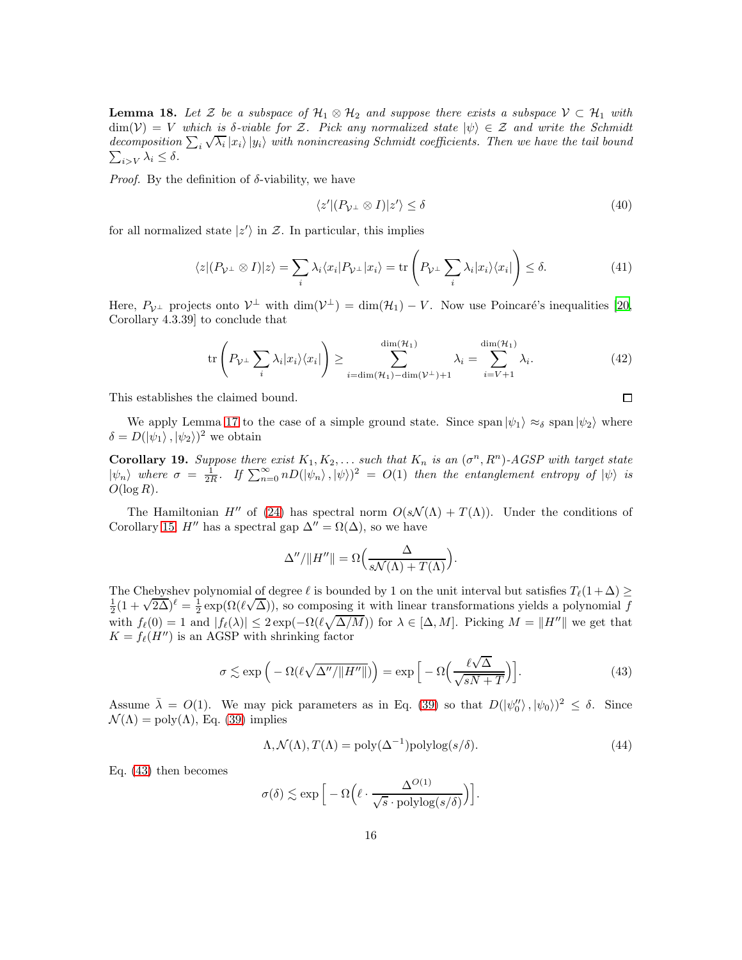**Lemma 18.** Let Z be a subspace of  $\mathcal{H}_1 \otimes \mathcal{H}_2$  and suppose there exists a subspace  $\mathcal{V} \subset \mathcal{H}_1$  with  $\dim(V) = V$  which is δ-viable for Z. Pick any normalized state  $|\psi\rangle \in \mathcal{Z}$  and write the Schmidt  $\overline{\lim_{k}}$  of  $\overline{\lim_{k}}$   $\overline{\lim_{k}}$   $\overline{\lim_{k}}$   $\overline{\lim_{k}}$  with nonincreasing Schmidt coefficients. Then we have the tail bound  $\sum_{i>V} \lambda_i \leq \delta.$ 

*Proof.* By the definition of  $\delta$ -viability, we have

$$
\langle z' | (P_{\mathcal{V}^\perp} \otimes I) | z' \rangle \le \delta \tag{40}
$$

 $\Box$ 

for all normalized state  $|z'\rangle$  in Z. In particular, this implies

$$
\langle z|(P_{\mathcal{V}^{\perp}}\otimes I)|z\rangle = \sum_{i} \lambda_i \langle x_i|P_{\mathcal{V}^{\perp}}|x_i\rangle = \text{tr}\left(P_{\mathcal{V}^{\perp}}\sum_{i} \lambda_i|x_i\rangle\langle x_i|\right) \leq \delta. \tag{41}
$$

Here,  $P_{\mathcal{V}^\perp}$  projects onto  $\mathcal{V}^\perp$  with  $\dim(\mathcal{V}^\perp) = \dim(\mathcal{H}_1) - V$ . Now use Poincaré's inequalities [\[20](#page-18-15), Corollary 4.3.39] to conclude that

$$
\operatorname{tr}\left(P_{\mathcal{V}^{\perp}}\sum_{i}\lambda_{i}|x_{i}\rangle\langle x_{i}|\right) \geq \sum_{i=\dim(\mathcal{H}_{1})-\dim(\mathcal{V}^{\perp})+1}^{\dim(\mathcal{H}_{1})}\lambda_{i} = \sum_{i=\mathcal{V}+1}^{\dim(\mathcal{H}_{1})}\lambda_{i}.
$$
 (42)

This establishes the claimed bound.

<span id="page-15-1"></span>We apply Lemma [17](#page-14-1) to the case of a simple ground state. Since span  $|\psi_1\rangle \approx_{\delta}$  span  $|\psi_2\rangle$  where  $\delta = D(|\psi_1\rangle, |\psi_2\rangle)^2$  we obtain

**Corollary 19.** Suppose there exist  $K_1, K_2, \ldots$  such that  $K_n$  is an  $(\sigma^n, R^n)$ -AGSP with target state  $|\psi_n\rangle$  where  $\sigma = \frac{1}{2R}$ . If  $\sum_{n=0}^{\infty} nD(|\psi_n\rangle, |\psi\rangle)^2 = O(1)$  then the entanglement entropy of  $|\psi\rangle$  is  $O(\log R)$ .

The Hamiltonian H'' of [\(24\)](#page-10-2) has spectral norm  $O(s\mathcal{N}(\Lambda) + T(\Lambda))$ . Under the conditions of Corollary [15,](#page-13-1) H'' has a spectral gap  $\Delta'' = \Omega(\Delta)$ , so we have

$$
\Delta''/||H''|| = \Omega\left(\frac{\Delta}{s\mathcal{N}(\Lambda) + T(\Lambda)}\right).
$$

The Chebyshev polynomial of degree  $\ell$  is bounded by 1 on the unit interval but satisfies  $T_{\ell}(1+\Delta) \geq$  $\frac{1}{2}(1+\sqrt{2\Delta})^{\ell} = \frac{1}{2} \exp(\Omega(\ell\sqrt{\Delta}))$ , so composing it with linear transformations yields a polynomial f with  $f_{\ell}(0) = 1$  and  $|f_{\ell}(\lambda)| \leq 2 \exp(-\Omega(\ell \sqrt{\Delta/M}))$  for  $\lambda \in [\Delta, M]$ . Picking  $M = ||H''||$  we get that  $K = f_{\ell}(H'')$  is an AGSP with shrinking factor

<span id="page-15-0"></span>
$$
\sigma \lesssim \exp\left(-\Omega \left(\ell \sqrt{\Delta''/\|H''\|}\right)\right) = \exp\left[-\Omega \left(\frac{\ell \sqrt{\Delta}}{\sqrt{sN+T}}\right)\right].\tag{43}
$$

Assume  $\bar{\lambda} = O(1)$ . We may pick parameters as in Eq. [\(39\)](#page-14-2) so that  $D(|\psi_0''\rangle, |\psi_0\rangle)^2 \leq \delta$ . Since  $\mathcal{N}(\Lambda) = \text{poly}(\Lambda)$ , Eq. [\(39\)](#page-14-2) implies

$$
\Lambda, \mathcal{N}(\Lambda), T(\Lambda) = \text{poly}(\Delta^{-1}) \text{polylog}(s/\delta). \tag{44}
$$

Eq. [\(43\)](#page-15-0) then becomes

$$
\sigma(\delta) \lesssim \exp\Big[-\Omega\Big(\ell \cdot \frac{\Delta^{O(1)}}{\sqrt{s} \cdot \mathrm{polylog}(s/\delta)}\Big)\Big].
$$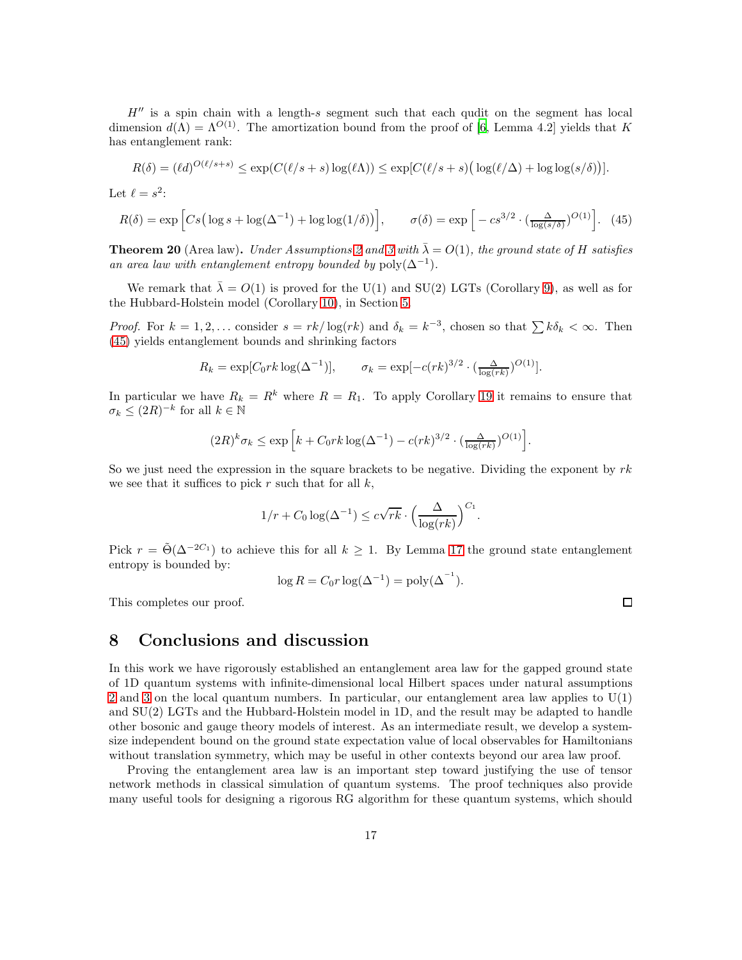$H''$  is a spin chain with a length-s segment such that each qudit on the segment has local dimension  $d(\Lambda) = \Lambda^{O(1)}$ . The amortization bound from the proof of [\[6](#page-17-1), Lemma 4.2] yields that K has entanglement rank:

$$
R(\delta) = (\ell d)^{O(\ell/s+s)} \le \exp(C(\ell/s+s)\log(\ell\Lambda)) \le \exp[C(\ell/s+s)\big(\log(\ell/\Delta) + \log\log(s/\delta))].
$$

Let  $\ell = s^2$ :

<span id="page-16-2"></span>
$$
R(\delta) = \exp\left[Cs\left(\log s + \log(\Delta^{-1}) + \log\log(1/\delta)\right)\right], \qquad \sigma(\delta) = \exp\left[-cs^{3/2} \cdot \left(\frac{\Delta}{\log(s/\delta)}\right)^{O(1)}\right]. \tag{45}
$$

<span id="page-16-0"></span>**Theorem [2](#page-5-4)0** (Area law). Under Assumptions 2 and [3](#page-5-3) with  $\bar{\lambda} = O(1)$ , the ground state of H satisfies an area law with entanglement entropy bounded by  $\text{poly}(\Delta^{-1})$ .

We remark that  $\bar{\lambda} = O(1)$  is proved for the U(1) and SU(2) LGTs (Corollary [9\)](#page-8-1), as well as for the Hubbard-Holstein model (Corollary [10\)](#page-9-0), in Section [5.](#page-7-1)

*Proof.* For  $k = 1, 2, ...$  consider  $s = rk/\log(rk)$  and  $\delta_k = k^{-3}$ , chosen so that  $\sum k \delta_k < \infty$ . Then [\(45\)](#page-16-2) yields entanglement bounds and shrinking factors

$$
R_k = \exp[C_0 rk \log(\Delta^{-1})], \qquad \sigma_k = \exp[-c(rk)^{3/2} \cdot (\frac{\Delta}{\log(rk)})^{O(1)}].
$$

In particular we have  $R_k = R^k$  where  $R = R_1$ . To apply Corollary [19](#page-15-1) it remains to ensure that  $\sigma_k \leq (2R)^{-k}$  for all  $k \in \mathbb{N}$ 

$$
(2R)^{k} \sigma_{k} \le \exp \left[ k + C_{0} rk \log(\Delta^{-1}) - c(rk)^{3/2} \cdot (\frac{\Delta}{\log(rk)})^{O(1)} \right].
$$

So we just need the expression in the square brackets to be negative. Dividing the exponent by  $rk$ we see that it suffices to pick r such that for all  $k$ ,

$$
1/r + C_0 \log(\Delta^{-1}) \le c\sqrt{rk} \cdot \left(\frac{\Delta}{\log(rk)}\right)^{C_1}.
$$

Pick  $r = \tilde{\Theta}(\Delta^{-2C_1})$  to achieve this for all  $k \geq 1$ . By Lemma [17](#page-14-1) the ground state entanglement entropy is bounded by:

$$
\log R = C_0 r \log(\Delta^{-1}) = \text{poly}(\Delta^{-1}).
$$

This completes our proof.

#### <span id="page-16-1"></span>8 Conclusions and discussion

In this work we have rigorously established an entanglement area law for the gapped ground state of 1D quantum systems with infinite-dimensional local Hilbert spaces under natural assumptions [2](#page-5-4) and [3](#page-5-3) on the local quantum numbers. In particular, our entanglement area law applies to U(1) and SU(2) LGTs and the Hubbard-Holstein model in 1D, and the result may be adapted to handle other bosonic and gauge theory models of interest. As an intermediate result, we develop a systemsize independent bound on the ground state expectation value of local observables for Hamiltonians without translation symmetry, which may be useful in other contexts beyond our area law proof.

Proving the entanglement area law is an important step toward justifying the use of tensor network methods in classical simulation of quantum systems. The proof techniques also provide many useful tools for designing a rigorous RG algorithm for these quantum systems, which should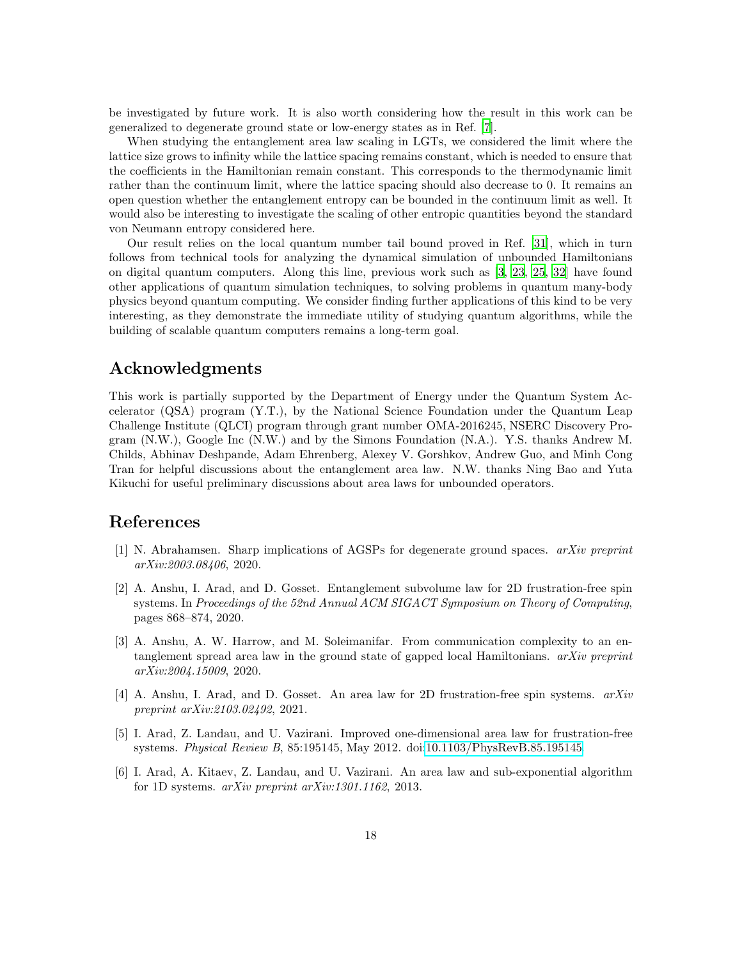be investigated by future work. It is also worth considering how the result in this work can be generalized to degenerate ground state or low-energy states as in Ref. [\[7\]](#page-18-1).

When studying the entanglement area law scaling in LGTs, we considered the limit where the lattice size grows to infinity while the lattice spacing remains constant, which is needed to ensure that the coefficients in the Hamiltonian remain constant. This corresponds to the thermodynamic limit rather than the continuum limit, where the lattice spacing should also decrease to 0. It remains an open question whether the entanglement entropy can be bounded in the continuum limit as well. It would also be interesting to investigate the scaling of other entropic quantities beyond the standard von Neumann entropy considered here.

Our result relies on the local quantum number tail bound proved in Ref. [\[31\]](#page-19-2), which in turn follows from technical tools for analyzing the dynamical simulation of unbounded Hamiltonians on digital quantum computers. Along this line, previous work such as [\[3](#page-17-5), [23,](#page-18-16) [25,](#page-19-10) [32\]](#page-19-11) have found other applications of quantum simulation techniques, to solving problems in quantum many-body physics beyond quantum computing. We consider finding further applications of this kind to be very interesting, as they demonstrate the immediate utility of studying quantum algorithms, while the building of scalable quantum computers remains a long-term goal.

# Acknowledgments

This work is partially supported by the Department of Energy under the Quantum System Accelerator (QSA) program (Y.T.), by the National Science Foundation under the Quantum Leap Challenge Institute (QLCI) program through grant number OMA-2016245, NSERC Discovery Program (N.W.), Google Inc (N.W.) and by the Simons Foundation (N.A.). Y.S. thanks Andrew M. Childs, Abhinav Deshpande, Adam Ehrenberg, Alexey V. Gorshkov, Andrew Guo, and Minh Cong Tran for helpful discussions about the entanglement area law. N.W. thanks Ning Bao and Yuta Kikuchi for useful preliminary discussions about area laws for unbounded operators.

# References

- <span id="page-17-4"></span>[1] N. Abrahamsen. Sharp implications of AGSPs for degenerate ground spaces. arXiv preprint arXiv:2003.08406, 2020.
- <span id="page-17-2"></span>[2] A. Anshu, I. Arad, and D. Gosset. Entanglement subvolume law for 2D frustration-free spin systems. In Proceedings of the 52nd Annual ACM SIGACT Symposium on Theory of Computing, pages 868–874, 2020.
- <span id="page-17-5"></span>[3] A. Anshu, A. W. Harrow, and M. Soleimanifar. From communication complexity to an entanglement spread area law in the ground state of gapped local Hamiltonians.  $arXiv$  preprint arXiv:2004.15009, 2020.
- <span id="page-17-3"></span>[4] A. Anshu, I. Arad, and D. Gosset. An area law for 2D frustration-free spin systems. arXiv preprint arXiv:2103.02492, 2021.
- <span id="page-17-0"></span>[5] I. Arad, Z. Landau, and U. Vazirani. Improved one-dimensional area law for frustration-free systems. Physical Review B, 85:195145, May 2012. doi[:10.1103/PhysRevB.85.195145.](https://doi.org/10.1103/PhysRevB.85.195145)
- <span id="page-17-1"></span>[6] I. Arad, A. Kitaev, Z. Landau, and U. Vazirani. An area law and sub-exponential algorithm for 1D systems. arXiv preprint arXiv:1301.1162, 2013.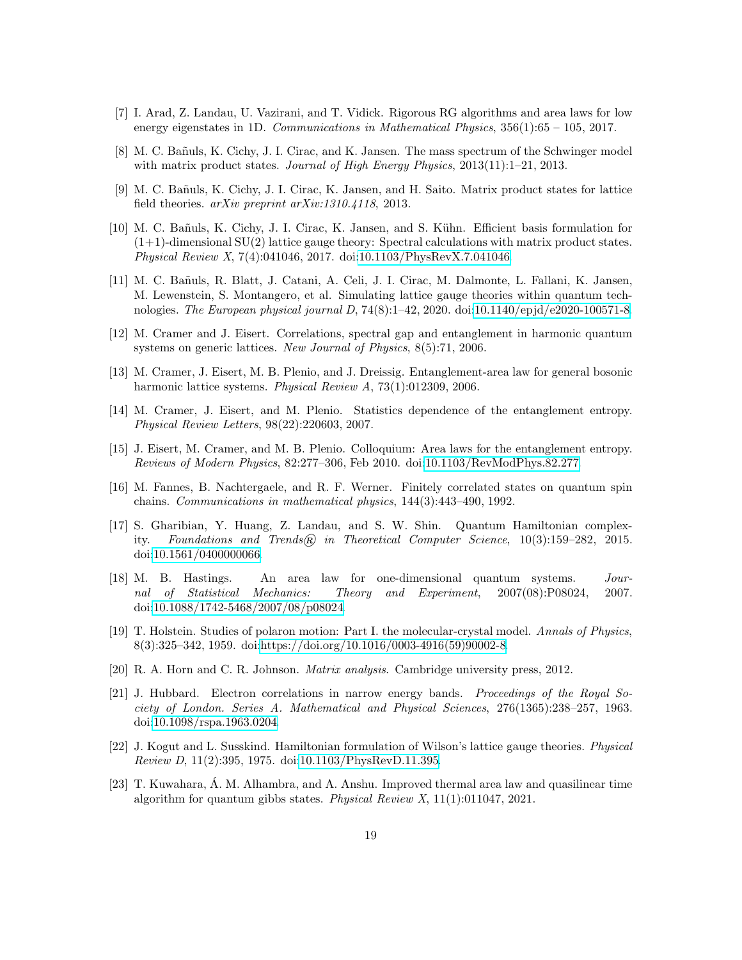- <span id="page-18-1"></span>[7] I. Arad, Z. Landau, U. Vazirani, and T. Vidick. Rigorous RG algorithms and area laws for low energy eigenstates in 1D. Communications in Mathematical Physics,  $356(1):65 - 105$ ,  $2017$ .
- <span id="page-18-9"></span>[8] M. C. Ba˜nuls, K. Cichy, J. I. Cirac, and K. Jansen. The mass spectrum of the Schwinger model with matrix product states. *Journal of High Energy Physics*, 2013(11):1–21, 2013.
- <span id="page-18-10"></span>[9] M. C. Ba˜nuls, K. Cichy, J. I. Cirac, K. Jansen, and H. Saito. Matrix product states for lattice field theories. arXiv preprint arXiv:1310.4118, 2013.
- <span id="page-18-11"></span>[10] M. C. Bañuls, K. Cichy, J. I. Cirac, K. Jansen, and S. Kühn. Efficient basis formulation for  $(1+1)$ -dimensional SU(2) lattice gauge theory: Spectral calculations with matrix product states. Physical Review X, 7(4):041046, 2017. doi[:10.1103/PhysRevX.7.041046.](https://doi.org/10.1103/PhysRevX.7.041046)
- <span id="page-18-12"></span>[11] M. C. Ba˜nuls, R. Blatt, J. Catani, A. Celi, J. I. Cirac, M. Dalmonte, L. Fallani, K. Jansen, M. Lewenstein, S. Montangero, et al. Simulating lattice gauge theories within quantum technologies. The European physical journal D, 74(8):1–42, 2020. doi[:10.1140/epjd/e2020-100571-8.](https://doi.org/10.1140/epjd/e2020-100571-8)
- <span id="page-18-5"></span>[12] M. Cramer and J. Eisert. Correlations, spectral gap and entanglement in harmonic quantum systems on generic lattices. New Journal of Physics, 8(5):71, 2006.
- <span id="page-18-6"></span>[13] M. Cramer, J. Eisert, M. B. Plenio, and J. Dreissig. Entanglement-area law for general bosonic harmonic lattice systems. Physical Review A, 73(1):012309, 2006.
- <span id="page-18-7"></span>[14] M. Cramer, J. Eisert, and M. Plenio. Statistics dependence of the entanglement entropy. Physical Review Letters, 98(22):220603, 2007.
- <span id="page-18-8"></span>[15] J. Eisert, M. Cramer, and M. B. Plenio. Colloquium: Area laws for the entanglement entropy. Reviews of Modern Physics, 82:277–306, Feb 2010. doi[:10.1103/RevModPhys.82.277.](https://doi.org/10.1103/RevModPhys.82.277)
- <span id="page-18-2"></span>[16] M. Fannes, B. Nachtergaele, and R. F. Werner. Finitely correlated states on quantum spin chains. Communications in mathematical physics, 144(3):443–490, 1992.
- <span id="page-18-3"></span>[17] S. Gharibian, Y. Huang, Z. Landau, and S. W. Shin. Quantum Hamiltonian complexity. Foundations and Trends $\widehat{R}$  in Theoretical Computer Science, 10(3):159–282, 2015. doi[:10.1561/0400000066.](https://doi.org/10.1561/0400000066)
- <span id="page-18-0"></span>[18] M. B. Hastings. An area law for one-dimensional quantum systems. Journal of Statistical Mechanics: Theory and Experiment, 2007(08):P08024, 2007. doi[:10.1088/1742-5468/2007/08/p08024.](https://doi.org/10.1088/1742-5468/2007/08/p08024)
- <span id="page-18-13"></span>[19] T. Holstein. Studies of polaron motion: Part I. the molecular-crystal model. Annals of Physics, 8(3):325–342, 1959. doi[:https://doi.org/10.1016/0003-4916\(59\)90002-8.](https://doi.org/https://doi.org/10.1016/0003-4916(59)90002-8)
- <span id="page-18-15"></span>[20] R. A. Horn and C. R. Johnson. Matrix analysis. Cambridge university press, 2012.
- <span id="page-18-14"></span>[21] J. Hubbard. Electron correlations in narrow energy bands. Proceedings of the Royal Society of London. Series A. Mathematical and Physical Sciences, 276(1365):238–257, 1963. doi[:10.1098/rspa.1963.0204.](https://doi.org/10.1098/rspa.1963.0204)
- <span id="page-18-4"></span>[22] J. Kogut and L. Susskind. Hamiltonian formulation of Wilson's lattice gauge theories. Physical Review D, 11(2):395, 1975. doi[:10.1103/PhysRevD.11.395.](https://doi.org/10.1103/PhysRevD.11.395)
- <span id="page-18-16"></span>[23] T. Kuwahara,  $\acute{A}$ . M. Alhambra, and A. Anshu. Improved thermal area law and quasilinear time algorithm for quantum gibbs states. Physical Review X, 11(1):011047, 2021.